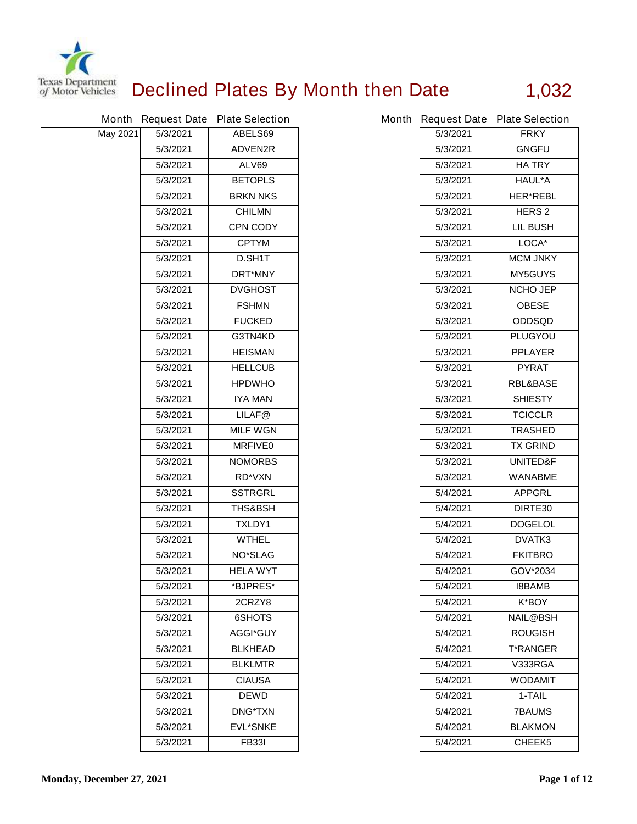

## **Declined Plates By Month then Date 1,032**

|                 |          | Month Request Date Plate Selection |          | Month Request Date Plate Selection |
|-----------------|----------|------------------------------------|----------|------------------------------------|
| <b>May 2021</b> | 5/3/2021 | ABELS69                            | 5/3/2021 | <b>FRKY</b>                        |
|                 | 5/3/2021 | <b>ADVEN2R</b>                     | 5/3/2021 | <b>GNGFU</b>                       |
|                 | 5/3/2021 | <b>ALV69</b>                       | 5/3/2021 | <b>HATRY</b>                       |
|                 | 5/3/2021 | <b>BETOPLS</b>                     | 5/3/2021 | <b>HAUL*A</b>                      |
|                 | 5/3/2021 | <b>BRKN NKS</b>                    | 5/3/2021 | <b>HER*REBL</b>                    |
|                 | 5/3/2021 | <b>CHILMN</b>                      | 5/3/2021 | <b>HERS 2</b>                      |
|                 | 5/3/2021 | <b>CPN CODY</b>                    | 5/3/2021 | <b>LIL BUSH</b>                    |
|                 | 5/3/2021 | <b>CPTYM</b>                       | 5/3/2021 | LOCA*                              |
|                 | 5/3/2021 | D.SH1T                             | 5/3/2021 | <b>MCM JNKY</b>                    |
|                 | 5/3/2021 | <b>DRT*MNY</b>                     | 5/3/2021 | <b>MY5GUYS</b>                     |
|                 | 5/3/2021 | <b>DVGHOST</b>                     | 5/3/2021 | <b>NCHO JEP</b>                    |
|                 | 5/3/2021 | <b>FSHMN</b>                       | 5/3/2021 | <b>OBESE</b>                       |
|                 | 5/3/2021 | <b>FUCKED</b>                      | 5/3/2021 | <b>ODDSQD</b>                      |
|                 | 5/3/2021 | G3TN4KD                            | 5/3/2021 | <b>PLUGYOU</b>                     |
|                 | 5/3/2021 | <b>HEISMAN</b>                     | 5/3/2021 | <b>PPLAYER</b>                     |
|                 | 5/3/2021 | <b>HELLCUB</b>                     | 5/3/2021 | <b>PYRAT</b>                       |
|                 | 5/3/2021 | <b>HPDWHO</b>                      | 5/3/2021 | <b>RBL&amp;BASE</b>                |
|                 | 5/3/2021 | <b>IYA MAN</b>                     | 5/3/2021 | <b>SHIESTY</b>                     |
|                 | 5/3/2021 | LILAF@                             | 5/3/2021 | <b>TCICCLR</b>                     |
|                 | 5/3/2021 | <b>MILF WGN</b>                    | 5/3/2021 | <b>TRASHED</b>                     |
|                 | 5/3/2021 | <b>MRFIVE0</b>                     | 5/3/2021 | <b>TX GRIND</b>                    |
|                 | 5/3/2021 | <b>NOMORBS</b>                     | 5/3/2021 | <b>UNITED&amp;F</b>                |
|                 | 5/3/2021 | <b>RD*VXN</b>                      | 5/3/2021 | <b>WANABME</b>                     |
|                 | 5/3/2021 | <b>SSTRGRL</b>                     | 5/4/2021 | <b>APPGRL</b>                      |
|                 | 5/3/2021 | <b>THS&amp;BSH</b>                 | 5/4/2021 | DIRTE30                            |
|                 | 5/3/2021 | <b>TXLDY1</b>                      | 5/4/2021 | <b>DOGELOL</b>                     |
|                 | 5/3/2021 | <b>WTHEL</b>                       | 5/4/2021 | DVATK3                             |
|                 | 5/3/2021 | <b>NO*SLAG</b>                     | 5/4/2021 | <b>FKITBRO</b>                     |
|                 | 5/3/2021 | <b>HELA WYT</b>                    | 5/4/2021 | GOV*2034                           |
|                 | 5/3/2021 | *BJPRES*                           | 5/4/2021 | <b>I8BAMB</b>                      |
|                 | 5/3/2021 | 2CRZY8                             | 5/4/2021 | <b>K*BOY</b>                       |
|                 | 5/3/2021 | 6SHOTS                             | 5/4/2021 | <b>NAIL@BSH</b>                    |
|                 | 5/3/2021 | <b>AGGI*GUY</b>                    | 5/4/2021 | <b>ROUGISH</b>                     |
|                 | 5/3/2021 | <b>BLKHEAD</b>                     | 5/4/2021 | <b>T*RANGER</b>                    |
|                 | 5/3/2021 | <b>BLKLMTR</b>                     | 5/4/2021 | V333RGA                            |
|                 | 5/3/2021 | <b>CIAUSA</b>                      | 5/4/2021 | <b>WODAMIT</b>                     |
|                 | 5/3/2021 | <b>DEWD</b>                        | 5/4/2021 | 1-TAIL                             |
|                 | 5/3/2021 | <b>DNG*TXN</b>                     | 5/4/2021 | <b>7BAUMS</b>                      |
|                 | 5/3/2021 | <b>EVL*SNKE</b>                    | 5/4/2021 | <b>BLAKMON</b>                     |
|                 | 5/3/2021 | <b>FB331</b>                       | 5/4/2021 | CHEEK5                             |

|          | th Request Date Plate Selection |
|----------|---------------------------------|
| 5/3/2021 | <b>FRKY</b>                     |
| 5/3/2021 | <b>GNGFU</b>                    |
| 5/3/2021 | <b>HATRY</b>                    |
| 5/3/2021 | HAUL*A                          |
| 5/3/2021 | <b>HER*REBL</b>                 |
| 5/3/2021 | <b>HERS 2</b>                   |
| 5/3/2021 | <b>LIL BUSH</b>                 |
| 5/3/2021 | LOCA*                           |
| 5/3/2021 | <b>MCM JNKY</b>                 |
| 5/3/2021 | <b>MY5GUYS</b>                  |
| 5/3/2021 | <b>NCHO JEP</b>                 |
| 5/3/2021 | <b>OBESE</b>                    |
| 5/3/2021 | <b>ODDSQD</b>                   |
| 5/3/2021 | <b>PLUGYOU</b>                  |
| 5/3/2021 | <b>PPLAYER</b>                  |
| 5/3/2021 | <b>PYRAT</b>                    |
| 5/3/2021 | <b>RBL&amp;BASE</b>             |
| 5/3/2021 | SHIESTY                         |
| 5/3/2021 | <b>TCICCLR</b>                  |
| 5/3/2021 | <b>TRASHED</b>                  |
| 5/3/2021 | <b>TX GRIND</b>                 |
| 5/3/2021 | <b>UNITED&amp;F</b>             |
| 5/3/2021 | <b>WANABME</b>                  |
| 5/4/2021 | <b>APPGRL</b>                   |
| 5/4/2021 | DIRTE30                         |
| 5/4/2021 | <b>DOGELOL</b>                  |
| 5/4/2021 | <b>DVATK3</b>                   |
| 5/4/2021 | <b>FKITBRO</b>                  |
| 5/4/2021 | GOV*2034                        |
| 5/4/2021 | I8BAMB                          |
| 5/4/2021 | K*BOY                           |
| 5/4/2021 | NAIL@BSH                        |
| 5/4/2021 | <b>ROUGISH</b>                  |
| 5/4/2021 | <b>T*RANGER</b>                 |
| 5/4/2021 | V333RGA                         |
| 5/4/2021 | WODAMIT                         |
| 5/4/2021 | 1-TAIL                          |
| 5/4/2021 | <b>7BAUMS</b>                   |
| 5/4/2021 | <b>BLAKMON</b>                  |
| 5/4/2021 | <b>CHEEK5</b>                   |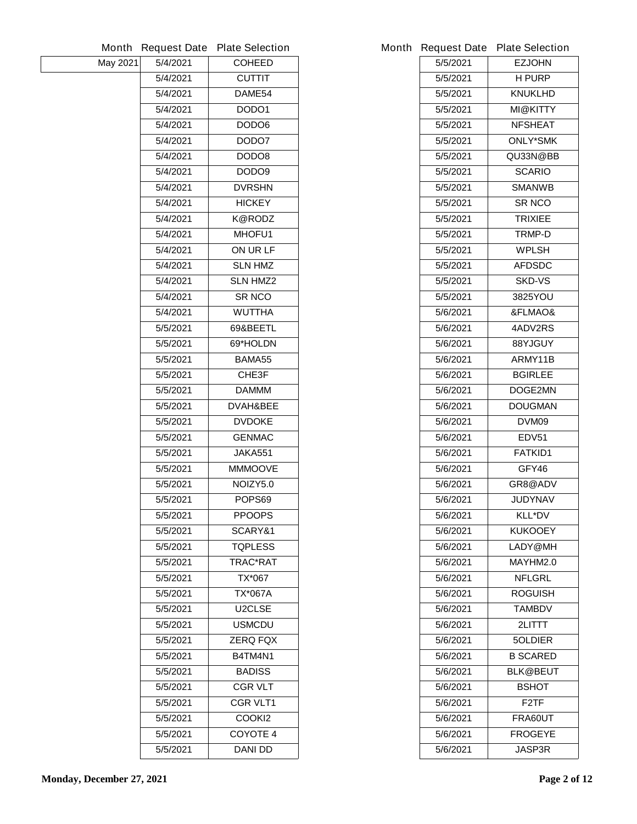|                 | Month Request Date | <b>Plate Selection</b> |          | Month Request Date Plate Selection |
|-----------------|--------------------|------------------------|----------|------------------------------------|
| <b>May 2021</b> | 5/4/2021           | <b>COHEED</b>          | 5/5/2021 | <b>EZJOHN</b>                      |
|                 | 5/4/2021           | <b>CUTTIT</b>          | 5/5/2021 | <b>H PURP</b>                      |
|                 | 5/4/2021           | DAME54                 | 5/5/2021 | <b>KNUKLHD</b>                     |
|                 | 5/4/2021           | DODO1                  | 5/5/2021 | <b>MI@KITTY</b>                    |
|                 | 5/4/2021           | DODO6                  | 5/5/2021 | <b>NFSHEAT</b>                     |
|                 | 5/4/2021           | DODO7                  | 5/5/2021 | <b>ONLY*SMK</b>                    |
|                 | 5/4/2021           | DODO8                  | 5/5/2021 | QU33N@BB                           |
|                 | 5/4/2021           | DODO9                  | 5/5/2021 | <b>SCARIO</b>                      |
|                 | 5/4/2021           | <b>DVRSHN</b>          | 5/5/2021 | <b>SMANWB</b>                      |
|                 | 5/4/2021           | <b>HICKEY</b>          | 5/5/2021 | <b>SR NCO</b>                      |
|                 | 5/4/2021           | <b>K@RODZ</b>          | 5/5/2021 | <b>TRIXIEE</b>                     |
|                 | 5/4/2021           | MHOFU1                 | 5/5/2021 | TRMP-D                             |
|                 | 5/4/2021           | ON UR LF               | 5/5/2021 | <b>WPLSH</b>                       |
|                 | 5/4/2021           | <b>SLN HMZ</b>         | 5/5/2021 | <b>AFDSDC</b>                      |
|                 | 5/4/2021           | <b>SLN HMZ2</b>        | 5/5/2021 | <b>SKD-VS</b>                      |
|                 | 5/4/2021           | <b>SR NCO</b>          | 5/5/2021 | 3825YOU                            |
|                 | 5/4/2021           | <b>WUTTHA</b>          | 5/6/2021 | &FLMAO&                            |
|                 | 5/5/2021           | 69&BEETL               | 5/6/2021 | 4ADV2RS                            |
|                 | 5/5/2021           | 69*HOLDN               | 5/6/2021 | 88YJGUY                            |
|                 | 5/5/2021           | BAMA55                 | 5/6/2021 | ARMY11B                            |
|                 | 5/5/2021           | CHE3F                  | 5/6/2021 | <b>BGIRLEE</b>                     |
|                 | 5/5/2021           | <b>DAMMM</b>           | 5/6/2021 | DOGE2MN                            |
|                 | 5/5/2021           | DVAH&BEE               | 5/6/2021 | <b>DOUGMAN</b>                     |
|                 | 5/5/2021           | <b>DVDOKE</b>          | 5/6/2021 | <b>DVM09</b>                       |
|                 | 5/5/2021           | <b>GENMAC</b>          | 5/6/2021 | <b>EDV51</b>                       |
|                 | 5/5/2021           | <b>JAKA551</b>         | 5/6/2021 | <b>FATKID1</b>                     |
|                 | 5/5/2021           | <b>MMMOOVE</b>         | 5/6/2021 | GFY46                              |
|                 | 5/5/2021           | NOIZY5.0               | 5/6/2021 | GR8@ADV                            |
|                 | 5/5/2021           | POPS69                 | 5/6/2021 | <b>JUDYNAV</b>                     |
|                 | 5/5/2021           | <b>PPOOPS</b>          | 5/6/2021 | <b>KLL*DV</b>                      |
|                 | 5/5/2021           | SCARY&1                | 5/6/2021 | <b>KUKOOEY</b>                     |
|                 | 5/5/2021           | <b>TQPLESS</b>         | 5/6/2021 | LADY@MH                            |
|                 | 5/5/2021           | TRAC*RAT               | 5/6/2021 | MAYHM2.0                           |
|                 | 5/5/2021           | TX*067                 | 5/6/2021 | <b>NFLGRL</b>                      |
|                 | 5/5/2021           | <b>TX*067A</b>         | 5/6/2021 | <b>ROGUISH</b>                     |
|                 | 5/5/2021           | U2CLSE                 | 5/6/2021 | <b>TAMBDV</b>                      |
|                 | 5/5/2021           | <b>USMCDU</b>          | 5/6/2021 | 2LITTT                             |
|                 | 5/5/2021           | <b>ZERQ FQX</b>        | 5/6/2021 | <b>5OLDIER</b>                     |
|                 | 5/5/2021           | B4TM4N1                | 5/6/2021 | <b>B SCARED</b>                    |
|                 | 5/5/2021           | <b>BADISS</b>          | 5/6/2021 | <b>BLK@BEUT</b>                    |
|                 | 5/5/2021           | <b>CGR VLT</b>         | 5/6/2021 | <b>BSHOT</b>                       |
|                 | 5/5/2021           | <b>CGR VLT1</b>        | 5/6/2021 | F <sub>2</sub> TF                  |
|                 | 5/5/2021           | <b>COOKI2</b>          | 5/6/2021 | FRA60UT                            |
|                 | 5/5/2021           | <b>COYOTE 4</b>        | 5/6/2021 | <b>FROGEYE</b>                     |
|                 | 5/5/2021           | <b>DANI DD</b>         | 5/6/2021 | <b>JASP3R</b>                      |
|                 |                    |                        |          |                                    |

|          | <b>Request Date Plate Selection</b> |
|----------|-------------------------------------|
| 5/5/2021 | <b>EZJOHN</b>                       |
| 5/5/2021 | <b>H PURP</b>                       |
| 5/5/2021 | <b>KNUKLHD</b>                      |
| 5/5/2021 | MI@KITTY                            |
| 5/5/2021 | <b>NFSHEAT</b>                      |
| 5/5/2021 | <b>ONLY*SMK</b>                     |
| 5/5/2021 | QU33N@BB                            |
| 5/5/2021 | <b>SCARIO</b>                       |
| 5/5/2021 | <b>SMANWB</b>                       |
| 5/5/2021 | <b>SR NCO</b>                       |
| 5/5/2021 | <b>TRIXIEE</b>                      |
| 5/5/2021 | <b>TRMP-D</b>                       |
| 5/5/2021 | <b>WPLSH</b>                        |
| 5/5/2021 | <b>AFDSDC</b>                       |
| 5/5/2021 | <b>SKD-VS</b>                       |
| 5/5/2021 | 3825YOU                             |
| 5/6/2021 | &FLMAO&                             |
| 5/6/2021 | 4ADV2RS                             |
| 5/6/2021 | 88YJGUY                             |
| 5/6/2021 | ARMY11B                             |
| 5/6/2021 | <b>BGIRLEE</b>                      |
| 5/6/2021 | <b>DOGE2MN</b>                      |
| 5/6/2021 | DOUGMAN                             |
| 5/6/2021 | DVM09                               |
| 5/6/2021 | EDV51                               |
| 5/6/2021 | <b>FATKID1</b>                      |
| 5/6/2021 | GFY46                               |
| 5/6/2021 | <b>GR8@ADV</b>                      |
| 5/6/2021 | <b>JUDYNAV</b>                      |
| 5/6/2021 | <b>KLL*DV</b>                       |
| 5/6/2021 | <b>KUKOOEY</b>                      |
| 5/6/2021 | LADY@MH                             |
| 5/6/2021 | MAYHM2.0                            |
| 5/6/2021 | <b>NFLGRL</b>                       |
| 5/6/2021 | <b>ROGUISH</b>                      |
| 5/6/2021 | TAMBDV                              |
| 5/6/2021 | 2LITTT.                             |
| 5/6/2021 | <b>5OLDIER</b>                      |
| 5/6/2021 | <b>B SCARED</b>                     |
| 5/6/2021 | <b>BLK@BEUT</b>                     |
| 5/6/2021 | BSHOT                               |
| 5/6/2021 | F2TF                                |
| 5/6/2021 | <b>FRA60UT</b>                      |
| 5/6/2021 | <b>FROGEYE</b>                      |
| 5/6/2021 | JASP3R                              |
|          |                                     |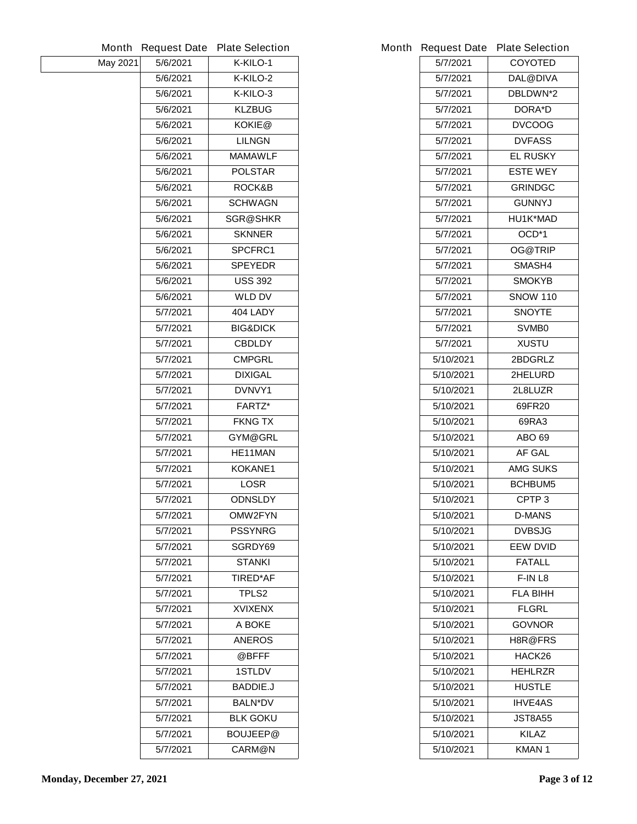|                 | <b>Month Request Date</b> | <b>Plate Selection</b> | Month Request Date Plate Selection |                   |
|-----------------|---------------------------|------------------------|------------------------------------|-------------------|
| <b>May 2021</b> | 5/6/2021                  | K-KILO-1               | 5/7/2021                           | <b>COYOTED</b>    |
|                 | 5/6/2021                  | K-KILO-2               | 5/7/2021                           | <b>DAL@DIVA</b>   |
|                 | 5/6/2021                  | K-KILO-3               | 5/7/2021                           | DBLDWN*2          |
|                 | 5/6/2021                  | <b>KLZBUG</b>          | 5/7/2021                           | <b>DORA*D</b>     |
|                 | 5/6/2021                  | KOKIE@                 | 5/7/2021                           | <b>DVCOOG</b>     |
|                 | 5/6/2021                  | <b>LILNGN</b>          | 5/7/2021                           | <b>DVFASS</b>     |
|                 | 5/6/2021                  | <b>MAMAWLF</b>         | 5/7/2021                           | <b>EL RUSKY</b>   |
|                 | 5/6/2021                  | <b>POLSTAR</b>         | 5/7/2021                           | <b>ESTE WEY</b>   |
|                 | 5/6/2021                  | ROCK&B                 | 5/7/2021                           | <b>GRINDGC</b>    |
|                 | 5/6/2021                  | <b>SCHWAGN</b>         | 5/7/2021                           | <b>GUNNYJ</b>     |
|                 | 5/6/2021                  | <b>SGR@SHKR</b>        | 5/7/2021                           | HU1K*MAD          |
|                 | 5/6/2021                  | <b>SKNNER</b>          | 5/7/2021                           | OCD*1             |
|                 | 5/6/2021                  | <b>SPCFRC1</b>         | 5/7/2021                           | <b>OG@TRIP</b>    |
|                 | 5/6/2021                  | <b>SPEYEDR</b>         | 5/7/2021                           | SMASH4            |
|                 | 5/6/2021                  | <b>USS 392</b>         | 5/7/2021                           | <b>SMOKYB</b>     |
|                 | 5/6/2021                  | <b>WLD DV</b>          | 5/7/2021                           | <b>SNOW 110</b>   |
|                 | 5/7/2021                  | 404 LADY               | 5/7/2021                           | <b>SNOYTE</b>     |
|                 | 5/7/2021                  | <b>BIG&amp;DICK</b>    | 5/7/2021                           | <b>SVMB0</b>      |
|                 | 5/7/2021                  | <b>CBDLDY</b>          | 5/7/2021                           | <b>XUSTU</b>      |
|                 | 5/7/2021                  | <b>CMPGRL</b>          | 5/10/2021                          | 2BDGRLZ           |
|                 | 5/7/2021                  | <b>DIXIGAL</b>         | 5/10/2021                          | 2HELURD           |
|                 | 5/7/2021                  | DVNVY1                 | 5/10/2021                          | 2L8LUZR           |
|                 | 5/7/2021                  | <b>FARTZ*</b>          | 5/10/2021                          | 69FR20            |
|                 | 5/7/2021                  | <b>FKNG TX</b>         | 5/10/2021                          | 69RA3             |
|                 | 5/7/2021                  | GYM@GRL                | 5/10/2021                          | <b>ABO 69</b>     |
|                 | 5/7/2021                  | HE11MAN                | 5/10/2021                          | AF GAL            |
|                 | 5/7/2021                  | KOKANE1                | 5/10/2021                          | <b>AMG SUKS</b>   |
|                 | 5/7/2021                  | <b>LOSR</b>            | 5/10/2021                          | <b>BCHBUM5</b>    |
|                 | 5/7/2021                  | <b>ODNSLDY</b>         | 5/10/2021                          | CPTP <sub>3</sub> |
|                 | 5/7/2021                  | OMW2FYN                | 5/10/2021                          | <b>D-MANS</b>     |
|                 | 5/7/2021                  | <b>PSSYNRG</b>         | 5/10/2021                          | <b>DVBSJG</b>     |
|                 | 5/7/2021                  | SGRDY69                | 5/10/2021                          | <b>EEW DVID</b>   |
|                 | 5/7/2021                  | <b>STANKI</b>          | 5/10/2021                          | <b>FATALL</b>     |
|                 | 5/7/2021                  | <b>TIRED*AF</b>        | 5/10/2021                          | F-IN L8           |
|                 | 5/7/2021                  | TPLS <sub>2</sub>      | 5/10/2021                          | <b>FLA BIHH</b>   |
|                 | 5/7/2021                  | <b>XVIXENX</b>         | 5/10/2021                          | <b>FLGRL</b>      |
|                 | 5/7/2021                  | A BOKE                 | 5/10/2021                          | <b>GOVNOR</b>     |
|                 | 5/7/2021                  | <b>ANEROS</b>          | 5/10/2021                          | H8R@FRS           |
|                 | 5/7/2021                  | @BFFF                  | 5/10/2021                          | HACK26            |
|                 | 5/7/2021                  | <b>1STLDV</b>          | 5/10/2021                          | <b>HEHLRZR</b>    |
|                 | 5/7/2021                  | <b>BADDIE.J</b>        | 5/10/2021                          | <b>HUSTLE</b>     |
|                 | 5/7/2021                  | <b>BALN*DV</b>         | 5/10/2021                          | <b>IHVE4AS</b>    |
|                 | 5/7/2021                  | <b>BLK GOKU</b>        | 5/10/2021                          | <b>JST8A55</b>    |
|                 | 5/7/2021                  | <b>BOUJEEP@</b>        | 5/10/2021                          | <b>KILAZ</b>      |
|                 | 5/7/2021                  | <b>CARM@N</b>          | 5/10/2021                          | <b>KMAN1</b>      |
|                 |                           |                        |                                    |                   |

|           | <b>Request Date Plate Selection</b> |
|-----------|-------------------------------------|
| 5/7/2021  | <b>COYOTED</b>                      |
| 5/7/2021  | DAL@DIVA                            |
| 5/7/2021  | <b>DBLDWN*2</b>                     |
| 5/7/2021  | <b>DORA*D</b>                       |
| 5/7/2021  | <b>DVCOOG</b>                       |
| 5/7/2021  | <b>DVFASS</b>                       |
| 5/7/2021  | <b>EL RUSKY</b>                     |
| 5/7/2021  | <b>ESTE WEY</b>                     |
| 5/7/2021  | <b>GRINDGC</b>                      |
| 5/7/2021  | <b>GUNNYJ</b>                       |
| 5/7/2021  | HU1K*MAD                            |
| 5/7/2021  | OCD*1                               |
| 5/7/2021  | <b>OG@TRIP</b>                      |
| 5/7/2021  | <b>SMASH4</b>                       |
| 5/7/2021  | SMOKYB                              |
| 5/7/2021  | <b>SNOW 110</b>                     |
| 5/7/2021  | SNOYTE                              |
| 5/7/2021  | <b>SVMB0</b>                        |
| 5/7/2021  | <b>XUSTU</b>                        |
| 5/10/2021 | 2BDGRLZ                             |
| 5/10/2021 | <b>2HELURD</b>                      |
| 5/10/2021 | 2L8LUZR                             |
| 5/10/2021 | 69FR20                              |
| 5/10/2021 | 69RA3                               |
| 5/10/2021 | ABO 69                              |
| 5/10/2021 | <b>AF GAL</b>                       |
| 5/10/2021 | <b>AMG SUKS</b>                     |
| 5/10/2021 | <b>BCHBUM5</b>                      |
| 5/10/2021 | CPTP <sub>3</sub>                   |
| 5/10/2021 | D-MANS                              |
| 5/10/2021 | <b>DVBSJG</b>                       |
| 5/10/2021 | <b>EEW DVID</b>                     |
| 5/10/2021 | <b>FATALL</b>                       |
| 5/10/2021 | F-IN L8                             |
| 5/10/2021 | FLA BIHH                            |
| 5/10/2021 | FLGRL                               |
| 5/10/2021 | <b>GOVNOR</b>                       |
| 5/10/2021 | H8R@FRS                             |
| 5/10/2021 | <b>HACK26</b>                       |
| 5/10/2021 | <b>HEHLRZR</b>                      |
| 5/10/2021 | <b>HUSTLE</b>                       |
| 5/10/2021 | <b>IHVE4AS</b>                      |
| 5/10/2021 | JST8A55                             |
| 5/10/2021 | KILAZ                               |
| 5/10/2021 | KMAN 1                              |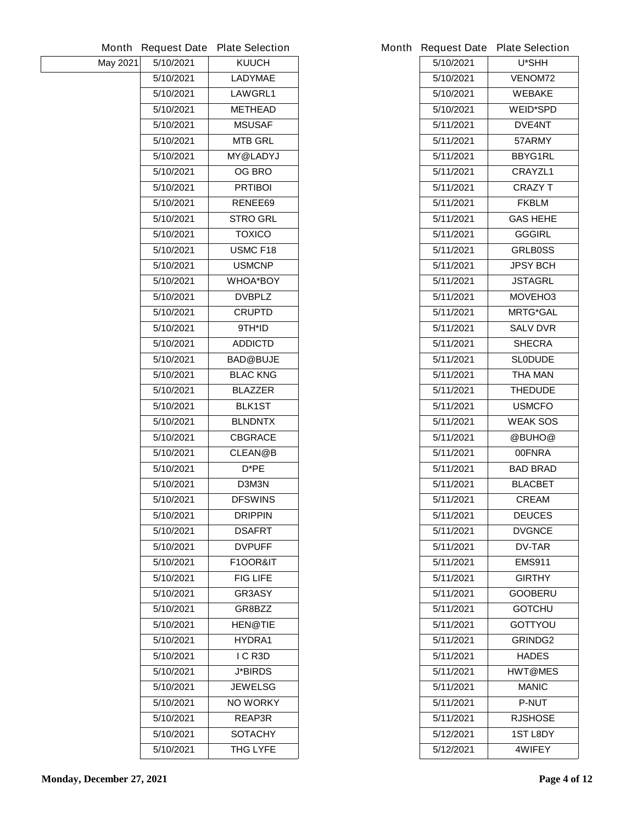|                 | Month Request Date | <b>Plate Selection</b> |           | Month Request Date Plate Selection |
|-----------------|--------------------|------------------------|-----------|------------------------------------|
| <b>May 2021</b> | 5/10/2021          | <b>KUUCH</b>           | 5/10/2021 | U*SHH                              |
|                 | 5/10/2021          | <b>LADYMAE</b>         | 5/10/2021 | <b>VENOM72</b>                     |
|                 | 5/10/2021          | <b>LAWGRL1</b>         | 5/10/2021 | <b>WEBAKE</b>                      |
|                 | 5/10/2021          | <b>METHEAD</b>         | 5/10/2021 | <b>WEID*SPD</b>                    |
|                 | 5/10/2021          | <b>MSUSAF</b>          | 5/11/2021 | <b>DVE4NT</b>                      |
|                 | 5/10/2021          | <b>MTB GRL</b>         | 5/11/2021 | 57ARMY                             |
|                 | 5/10/2021          | <b>MY@LADYJ</b>        | 5/11/2021 | <b>BBYG1RL</b>                     |
|                 | 5/10/2021          | <b>OG BRO</b>          | 5/11/2021 | <b>CRAYZL1</b>                     |
|                 | 5/10/2021          | <b>PRTIBOI</b>         | 5/11/2021 | <b>CRAZY T</b>                     |
|                 | 5/10/2021          | RENEE69                | 5/11/2021 | <b>FKBLM</b>                       |
|                 | 5/10/2021          | <b>STRO GRL</b>        | 5/11/2021 | <b>GAS HEHE</b>                    |
|                 | 5/10/2021          | <b>TOXICO</b>          | 5/11/2021 | <b>GGGIRL</b>                      |
|                 | 5/10/2021          | <b>USMC F18</b>        | 5/11/2021 | <b>GRLB0SS</b>                     |
|                 | 5/10/2021          | <b>USMCNP</b>          | 5/11/2021 | <b>JPSY BCH</b>                    |
|                 | 5/10/2021          | <b>WHOA*BOY</b>        | 5/11/2021 | <b>JSTAGRL</b>                     |
|                 | 5/10/2021          | <b>DVBPLZ</b>          | 5/11/2021 | MOVEHO3                            |
|                 | 5/10/2021          | <b>CRUPTD</b>          | 5/11/2021 | <b>MRTG*GAL</b>                    |
|                 | 5/10/2021          | 9TH*ID                 | 5/11/2021 | <b>SALV DVR</b>                    |
|                 | 5/10/2021          | <b>ADDICTD</b>         | 5/11/2021 | <b>SHECRA</b>                      |
|                 | 5/10/2021          | <b>BAD@BUJE</b>        | 5/11/2021 | <b>SLODUDE</b>                     |
|                 | 5/10/2021          | <b>BLAC KNG</b>        | 5/11/2021 | <b>THA MAN</b>                     |
|                 | 5/10/2021          | <b>BLAZZER</b>         | 5/11/2021 | <b>THEDUDE</b>                     |
|                 | 5/10/2021          | <b>BLK1ST</b>          | 5/11/2021 | <b>USMCFO</b>                      |
|                 | 5/10/2021          | <b>BLNDNTX</b>         | 5/11/2021 | <b>WEAK SOS</b>                    |
|                 | 5/10/2021          | <b>CBGRACE</b>         | 5/11/2021 | @BUHO@                             |
|                 | 5/10/2021          | <b>CLEAN@B</b>         | 5/11/2021 | <b>00FNRA</b>                      |
|                 | 5/10/2021          | $D^*PE$                | 5/11/2021 | <b>BAD BRAD</b>                    |
|                 | 5/10/2021          | D3M3N                  | 5/11/2021 | <b>BLACBET</b>                     |
|                 | 5/10/2021          | <b>DFSWINS</b>         | 5/11/2021 | <b>CREAM</b>                       |
|                 | 5/10/2021          | <b>DRIPPIN</b>         | 5/11/2021 | <b>DEUCES</b>                      |
|                 | 5/10/2021          | <b>DSAFRT</b>          | 5/11/2021 | <b>DVGNCE</b>                      |
|                 | 5/10/2021          | <b>DVPUFF</b>          | 5/11/2021 | <b>DV-TAR</b>                      |
|                 | 5/10/2021          | <b>F1OOR&amp;IT</b>    | 5/11/2021 | <b>EMS911</b>                      |
|                 | 5/10/2021          | <b>FIG LIFE</b>        | 5/11/2021 | <b>GIRTHY</b>                      |
|                 | 5/10/2021          | <b>GR3ASY</b>          | 5/11/2021 | <b>GOOBERU</b>                     |
|                 | 5/10/2021          | GR8BZZ                 | 5/11/2021 | <b>GOTCHU</b>                      |
|                 | 5/10/2021          | <b>HEN@TIE</b>         | 5/11/2021 | <b>GOTTYOU</b>                     |
|                 | 5/10/2021          | HYDRA1                 | 5/11/2021 | <b>GRINDG2</b>                     |
|                 | 5/10/2021          | I C R3D                | 5/11/2021 | <b>HADES</b>                       |
|                 | 5/10/2021          | <b>J*BIRDS</b>         | 5/11/2021 | <b>HWT@MES</b>                     |
|                 | 5/10/2021          | <b>JEWELSG</b>         | 5/11/2021 | <b>MANIC</b>                       |
|                 | 5/10/2021          | <b>NO WORKY</b>        | 5/11/2021 | <b>P-NUT</b>                       |
|                 | 5/10/2021          | <b>REAP3R</b>          | 5/11/2021 | <b>RJSHOSE</b>                     |
|                 | 5/10/2021          | <b>SOTACHY</b>         | 5/12/2021 | <b>1ST L8DY</b>                    |
|                 | 5/10/2021          | <b>THG LYFE</b>        | 5/12/2021 | 4WIFEY                             |

|           | <b>Request Date Plate Selection</b> |
|-----------|-------------------------------------|
| 5/10/2021 | U*SHH                               |
| 5/10/2021 | <b>VENOM72</b>                      |
| 5/10/2021 | <b>WEBAKE</b>                       |
| 5/10/2021 | <b>WEID*SPD</b>                     |
| 5/11/2021 | <b>DVE4NT</b>                       |
| 5/11/2021 | 57ARMY                              |
| 5/11/2021 | <b>BBYG1RL</b>                      |
| 5/11/2021 | <b>CRAYZL1</b>                      |
| 5/11/2021 | <b>CRAZY T</b>                      |
| 5/11/2021 | <b>FKBLM</b>                        |
| 5/11/2021 | <b>GAS HEHE</b>                     |
| 5/11/2021 | GGGIRL                              |
| 5/11/2021 | <b>GRLB0SS</b>                      |
| 5/11/2021 | <b>JPSY BCH</b>                     |
| 5/11/2021 | <b>JSTAGRL</b>                      |
| 5/11/2021 | <b>MOVEHO3</b>                      |
| 5/11/2021 | <b>MRTG*GAL</b>                     |
| 5/11/2021 | <b>SALV DVR</b>                     |
| 5/11/2021 | SHECRA                              |
| 5/11/2021 | <b>SLODUDE</b>                      |
| 5/11/2021 | THA MAN                             |
| 5/11/2021 | <b>THEDUDE</b>                      |
| 5/11/2021 | <b>USMCFO</b>                       |
| 5/11/2021 | <b>WEAK SOS</b>                     |
| 5/11/2021 | @BUHO@                              |
| 5/11/2021 | 00FNRA                              |
| 5/11/2021 | <b>BAD BRAD</b>                     |
| 5/11/2021 | <b>BLACBET</b>                      |
| 5/11/2021 | <b>CREAM</b>                        |
| 5/11/2021 | <b>DEUCES</b>                       |
| 5/11/2021 | <b>DVGNCE</b>                       |
| 5/11/2021 | <b>DV-TAR</b>                       |
| 5/11/2021 | <b>EMS911</b>                       |
| 5/11/2021 | <b>GIRTHY</b>                       |
| 5/11/2021 | <b>GOOBERU</b>                      |
| 5/11/2021 | <b>GOTCHU</b>                       |
| 5/11/2021 | <b>GOTTYOU</b>                      |
| 5/11/2021 | <b>GRINDG2</b>                      |
| 5/11/2021 | <b>HADES</b>                        |
| 5/11/2021 | <b>HWT@MES</b>                      |
| 5/11/2021 | <b>MANIC</b>                        |
| 5/11/2021 | P-NUT                               |
| 5/11/2021 | <b>RJSHOSE</b>                      |
| 5/12/2021 | <b>1ST L8DY</b>                     |
| 5/12/2021 | <b>4WIFEY</b>                       |
|           |                                     |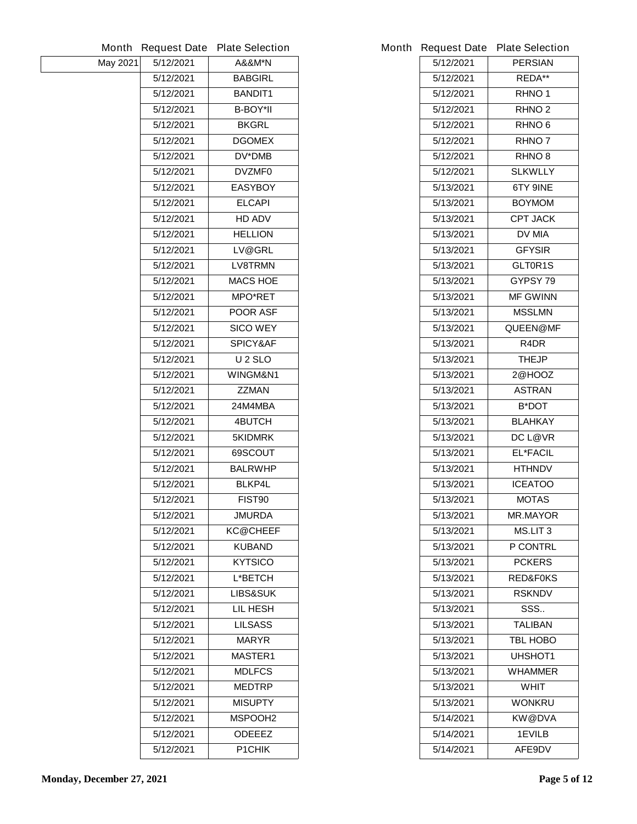| Month    | <b>Request Date</b> | <b>Plate Selection</b> |           | Month Request Date Plate Selection |
|----------|---------------------|------------------------|-----------|------------------------------------|
| May 2021 | 5/12/2021           | <b>A&amp;&amp;M*N</b>  | 5/12/2021 | <b>PERSIAN</b>                     |
|          | 5/12/2021           | <b>BABGIRL</b>         | 5/12/2021 | <b>REDA**</b>                      |
|          | 5/12/2021           | <b>BANDIT1</b>         | 5/12/2021 | RHNO <sub>1</sub>                  |
|          | 5/12/2021           | <b>B-BOY*II</b>        | 5/12/2021 | <b>RHNO<sub>2</sub></b>            |
|          | 5/12/2021           | <b>BKGRL</b>           | 5/12/2021 | <b>RHNO 6</b>                      |
|          | 5/12/2021           | <b>DGOMEX</b>          | 5/12/2021 | <b>RHNO7</b>                       |
|          | 5/12/2021           | <b>DV*DMB</b>          | 5/12/2021 | <b>RHNO 8</b>                      |
|          | 5/12/2021           | <b>DVZMF0</b>          | 5/12/2021 | <b>SLKWLLY</b>                     |
|          | 5/12/2021           | <b>EASYBOY</b>         | 5/13/2021 | <b>6TY 9INE</b>                    |
|          | 5/12/2021           | <b>ELCAPI</b>          | 5/13/2021 | <b>BOYMOM</b>                      |
|          | 5/12/2021           | <b>HD ADV</b>          | 5/13/2021 | <b>CPT JACK</b>                    |
|          | 5/12/2021           | <b>HELLION</b>         | 5/13/2021 | <b>DV MIA</b>                      |
|          | 5/12/2021           | LV@GRL                 | 5/13/2021 | <b>GFYSIR</b>                      |
|          | 5/12/2021           | <b>LV8TRMN</b>         | 5/13/2021 | GLT0R1S                            |
|          | 5/12/2021           | <b>MACS HOE</b>        | 5/13/2021 | GYPSY 79                           |
|          | 5/12/2021           | <b>MPO*RET</b>         | 5/13/2021 | <b>MF GWINN</b>                    |
|          | 5/12/2021           | <b>POOR ASF</b>        | 5/13/2021 | <b>MSSLMN</b>                      |
|          | 5/12/2021           | <b>SICO WEY</b>        | 5/13/2021 | QUEEN@MF                           |
|          | 5/12/2021           | <b>SPICY&amp;AF</b>    | 5/13/2021 | R4DR                               |
|          | 5/12/2021           | <b>U2SLO</b>           | 5/13/2021 | <b>THEJP</b>                       |
|          | 5/12/2021           | WINGM&N1               | 5/13/2021 | 2@HOOZ                             |
|          | 5/12/2021           | <b>ZZMAN</b>           | 5/13/2021 | <b>ASTRAN</b>                      |
|          | 5/12/2021           | 24M4MBA                | 5/13/2021 | <b>B*DOT</b>                       |
|          | 5/12/2021           | <b>4BUTCH</b>          | 5/13/2021 | <b>BLAHKAY</b>                     |
|          | 5/12/2021           | <b>5KIDMRK</b>         | 5/13/2021 | <b>DC L@VR</b>                     |
|          | 5/12/2021           | 69SCOUT                | 5/13/2021 | <b>EL*FACIL</b>                    |
|          | 5/12/2021           | <b>BALRWHP</b>         | 5/13/2021 | <b>HTHNDV</b>                      |
|          | 5/12/2021           | <b>BLKP4L</b>          | 5/13/2021 | <b>ICEATOO</b>                     |
|          | 5/12/2021           | <b>FIST90</b>          | 5/13/2021 | <b>MOTAS</b>                       |
|          | 5/12/2021           | <b>JMURDA</b>          | 5/13/2021 | <b>MR.MAYOR</b>                    |
|          | 5/12/2021           | <b>KC@CHEEF</b>        | 5/13/2021 | <b>MS.LIT 3</b>                    |
|          | 5/12/2021           | <b>KUBAND</b>          | 5/13/2021 | <b>P CONTRL</b>                    |
|          | 5/12/2021           | <b>KYTSICO</b>         | 5/13/2021 | <b>PCKERS</b>                      |
|          | 5/12/2021           | <b>L*BETCH</b>         | 5/13/2021 | <b>RED&amp;FOKS</b>                |
|          | 5/12/2021           | <b>LIBS&amp;SUK</b>    | 5/13/2021 | <b>RSKNDV</b>                      |
|          | 5/12/2021           | <b>LIL HESH</b>        | 5/13/2021 | SSS                                |
|          | 5/12/2021           | <b>LILSASS</b>         | 5/13/2021 | <b>TALIBAN</b>                     |
|          | 5/12/2021           | <b>MARYR</b>           | 5/13/2021 | <b>TBL HOBO</b>                    |
|          | 5/12/2021           | <b>MASTER1</b>         | 5/13/2021 | <b>UHSHOT1</b>                     |
|          | 5/12/2021           | <b>MDLFCS</b>          | 5/13/2021 | <b>WHAMMER</b>                     |
|          | 5/12/2021           | <b>MEDTRP</b>          | 5/13/2021 | <b>WHIT</b>                        |
|          | 5/12/2021           | <b>MISUPTY</b>         | 5/13/2021 | <b>WONKRU</b>                      |
|          | 5/12/2021           | <b>MSPOOH2</b>         | 5/14/2021 | <b>KW@DVA</b>                      |
|          | 5/12/2021           | <b>ODEEEZ</b>          | 5/14/2021 | <b>1EVILB</b>                      |
|          | 5/12/2021           | <b>P1CHIK</b>          | 5/14/2021 | AFE9DV                             |
|          |                     |                        |           |                                    |

|           | <b>Request Date Plate Selection</b> |
|-----------|-------------------------------------|
| 5/12/2021 | <b>PERSIAN</b>                      |
| 5/12/2021 | <b>REDA**</b>                       |
| 5/12/2021 | RHNO <sub>1</sub>                   |
| 5/12/2021 | <b>RHNO<sub>2</sub></b>             |
| 5/12/2021 | <b>RHNO 6</b>                       |
| 5/12/2021 | <b>RHNO 7</b>                       |
| 5/12/2021 | <b>RHNO 8</b>                       |
| 5/12/2021 | <b>SLKWLLY</b>                      |
| 5/13/2021 | <b>6TY 9INE</b>                     |
| 5/13/2021 | <b>BOYMOM</b>                       |
| 5/13/2021 | <b>CPT JACK</b>                     |
| 5/13/2021 | DV MIA                              |
| 5/13/2021 | <b>GFYSIR</b>                       |
| 5/13/2021 | <b>GLT0R1S</b>                      |
| 5/13/2021 | <b>GYPSY 79</b>                     |
| 5/13/2021 | <b>MF GWINN</b>                     |
| 5/13/2021 | <b>MSSLMN</b>                       |
| 5/13/2021 | <b>QUEEN@MF</b>                     |
| 5/13/2021 | R4DR                                |
| 5/13/2021 | <b>THEJP</b>                        |
| 5/13/2021 | 2@HOOZ                              |
| 5/13/2021 | <b>ASTRAN</b>                       |
| 5/13/2021 | <b>B*DOT</b>                        |
| 5/13/2021 | <b>BLAHKAY</b>                      |
| 5/13/2021 | <b>DC L@VR</b>                      |
| 5/13/2021 | <b>EL*FACIL</b>                     |
| 5/13/2021 | <b>HTHNDV</b>                       |
| 5/13/2021 | <b>ICEATOO</b>                      |
| 5/13/2021 | <b>MOTAS</b>                        |
| 5/13/2021 | <b>MR.MAYOR</b>                     |
| 5/13/2021 | <b>MS.LIT 3</b>                     |
| 5/13/2021 | <b>P CONTRL</b>                     |
| 5/13/2021 | <b>PCKERS</b>                       |
| 5/13/2021 | <b>RED&amp;F0KS</b>                 |
| 5/13/2021 | <b>RSKNDV</b>                       |
| 5/13/2021 | SSS                                 |
| 5/13/2021 | <b>TALIBAN</b>                      |
| 5/13/2021 | <b>TBL HOBO</b>                     |
| 5/13/2021 | <b>UHSHOT1</b>                      |
| 5/13/2021 | WHAMMER                             |
| 5/13/2021 | WHIT                                |
| 5/13/2021 | WONKRU                              |
| 5/14/2021 | KW@DVA                              |
| 5/14/2021 | <b>1EVILB</b>                       |
| 5/14/2021 | <b>AFE9DV</b>                       |
|           |                                     |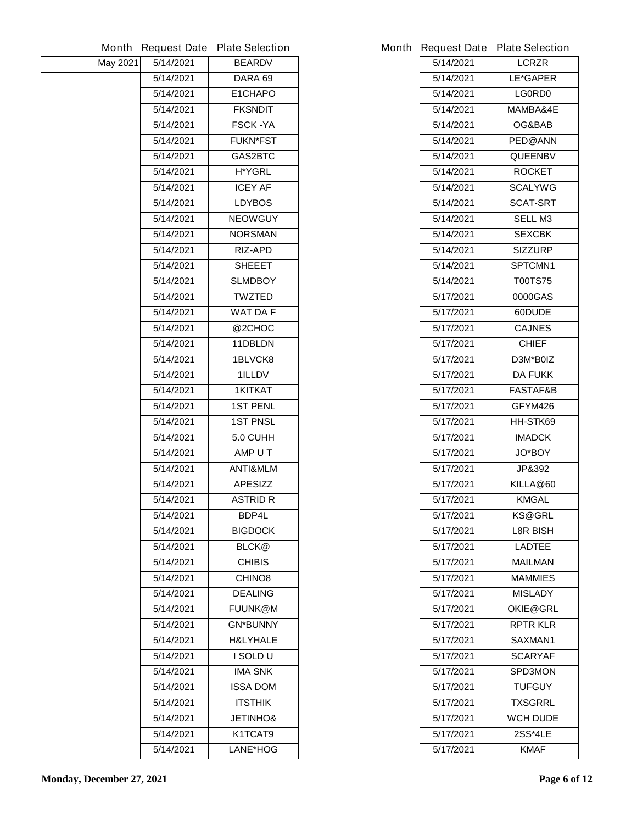| Month    | <b>Request Date</b> | <b>Plate Selection</b> | <b>Month Request Date</b> | <b>Plate Selection</b> |
|----------|---------------------|------------------------|---------------------------|------------------------|
| May 2021 | 5/14/2021           | <b>BEARDV</b>          | 5/14/2021                 | <b>LCRZR</b>           |
|          | 5/14/2021           | DARA 69                | 5/14/2021                 | LE*GAPER               |
|          | 5/14/2021           | E1CHAPO                | 5/14/2021                 | <b>LG0RD0</b>          |
|          | 5/14/2021           | <b>FKSNDIT</b>         | 5/14/2021                 | MAMBA&4E               |
|          | 5/14/2021           | <b>FSCK-YA</b>         | 5/14/2021                 | OG&BAB                 |
|          | 5/14/2021           | <b>FUKN*FST</b>        | 5/14/2021                 | <b>PED@ANN</b>         |
|          | 5/14/2021           | <b>GAS2BTC</b>         | 5/14/2021                 | <b>QUEENBV</b>         |
|          | 5/14/2021           | <b>H*YGRL</b>          | 5/14/2021                 | <b>ROCKET</b>          |
|          | 5/14/2021           | <b>ICEY AF</b>         | 5/14/2021                 | <b>SCALYWG</b>         |
|          | 5/14/2021           | <b>LDYBOS</b>          | 5/14/2021                 | <b>SCAT-SRT</b>        |
|          | 5/14/2021           | <b>NEOWGUY</b>         | 5/14/2021                 | <b>SELL M3</b>         |
|          | 5/14/2021           | <b>NORSMAN</b>         | 5/14/2021                 | <b>SEXCBK</b>          |
|          | 5/14/2021           | <b>RIZ-APD</b>         | 5/14/2021                 | <b>SIZZURP</b>         |
|          | 5/14/2021           | <b>SHEEET</b>          | 5/14/2021                 | SPTCMN1                |
|          | 5/14/2021           | <b>SLMDBOY</b>         | 5/14/2021                 | <b>T00TS75</b>         |
|          | 5/14/2021           | <b>TWZTED</b>          | 5/17/2021                 | 0000GAS                |
|          | 5/14/2021           | <b>WAT DA F</b>        | 5/17/2021                 | 60DUDE                 |
|          | 5/14/2021           | @2CHOC                 | 5/17/2021                 | <b>CAJNES</b>          |
|          | 5/14/2021           | 11DBLDN                | 5/17/2021                 | <b>CHIEF</b>           |
|          | 5/14/2021           | 1BLVCK8                | 5/17/2021                 | D3M*B0IZ               |
|          | 5/14/2021           | 1ILLDV                 | 5/17/2021                 | <b>DA FUKK</b>         |
|          | 5/14/2021           | <b>1KITKAT</b>         | 5/17/2021                 | <b>FASTAF&amp;B</b>    |
|          | 5/14/2021           | <b>1ST PENL</b>        | 5/17/2021                 | GFYM426                |
|          | 5/14/2021           | <b>1ST PNSL</b>        | 5/17/2021                 | HH-STK69               |
|          | 5/14/2021           | 5.0 CUHH               | 5/17/2021                 | <b>IMADCK</b>          |
|          | 5/14/2021           | AMP U T                | 5/17/2021                 | <b>JO*BOY</b>          |
|          | 5/14/2021           | <b>ANTI&amp;MLM</b>    | 5/17/2021                 | JP&392                 |
|          | 5/14/2021           | <b>APESIZZ</b>         | 5/17/2021                 | KILLA@60               |
|          | 5/14/2021           | <b>ASTRID R</b>        | 5/17/2021                 | <b>KMGAL</b>           |
|          | 5/14/2021           | BDP4L                  | 5/17/2021                 | <b>KS@GRL</b>          |
|          | 5/14/2021           | <b>BIGDOCK</b>         | 5/17/2021                 | <b>L8R BISH</b>        |
|          | 5/14/2021           | <b>BLCK@</b>           | 5/17/2021                 | <b>LADTEE</b>          |
|          | 5/14/2021           | <b>CHIBIS</b>          | 5/17/2021                 | <b>MAILMAN</b>         |
|          | 5/14/2021           | <b>CHINO8</b>          | 5/17/2021                 | <b>MAMMIES</b>         |
|          | 5/14/2021           | <b>DEALING</b>         | 5/17/2021                 | <b>MISLADY</b>         |
|          | 5/14/2021           | <b>FUUNK@M</b>         | 5/17/2021                 | <b>OKIE@GRL</b>        |
|          | 5/14/2021           | <b>GN*BUNNY</b>        | 5/17/2021                 | <b>RPTR KLR</b>        |
|          | 5/14/2021           | <b>H&amp;LYHALE</b>    | 5/17/2021                 | SAXMAN1                |
|          | 5/14/2021           | I SOLD U               | 5/17/2021                 | <b>SCARYAF</b>         |
|          | 5/14/2021           | <b>IMA SNK</b>         | 5/17/2021                 | <b>SPD3MON</b>         |
|          | 5/14/2021           | <b>ISSA DOM</b>        | 5/17/2021                 | <b>TUFGUY</b>          |
|          | 5/14/2021           | <b>ITSTHIK</b>         | 5/17/2021                 | <b>TXSGRRL</b>         |
|          | 5/14/2021           | <b>JETINHO&amp;</b>    | 5/17/2021                 | <b>WCH DUDE</b>        |
|          | 5/14/2021           | K1TCAT9                | 5/17/2021                 | 2SS*4LE                |
|          | 5/14/2021           | LANE*HOG               | 5/17/2021                 | <b>KMAF</b>            |
|          |                     |                        |                           |                        |

|           | <b>Request Date Plate Selection</b> |
|-----------|-------------------------------------|
| 5/14/2021 | <b>LCRZR</b>                        |
| 5/14/2021 | <b>LE*GAPER</b>                     |
| 5/14/2021 | <b>LG0RD0</b>                       |
| 5/14/2021 | MAMBA&4E                            |
| 5/14/2021 | OG&BAB                              |
| 5/14/2021 | <b>PED@ANN</b>                      |
| 5/14/2021 | <b>QUEENBV</b>                      |
| 5/14/2021 | <b>ROCKET</b>                       |
| 5/14/2021 | <b>SCALYWG</b>                      |
| 5/14/2021 | SCAT-SRT                            |
| 5/14/2021 | <b>SELL M3</b>                      |
| 5/14/2021 | <b>SEXCBK</b>                       |
| 5/14/2021 | <b>SIZZURP</b>                      |
| 5/14/2021 | <b>SPTCMN1</b>                      |
| 5/14/2021 | <b>T00TS75</b>                      |
| 5/17/2021 | 0000GAS                             |
| 5/17/2021 | 60DUDE                              |
| 5/17/2021 | <b>CAJNES</b>                       |
| 5/17/2021 | CHIEF                               |
| 5/17/2021 | D3M*B0IZ                            |
| 5/17/2021 | DA FUKK                             |
| 5/17/2021 | <b>FASTAF&amp;B</b>                 |
| 5/17/2021 | GFYM426                             |
| 5/17/2021 | HH-STK69                            |
| 5/17/2021 | IMADCK                              |
| 5/17/2021 | <b>JO*BOY</b>                       |
| 5/17/2021 | <b>JP&amp;392</b>                   |
| 5/17/2021 | KILLA@60                            |
| 5/17/2021 | <b>KMGAL</b>                        |
| 5/17/2021 | KS@GRL                              |
| 5/17/2021 | L8R BISH                            |
| 5/17/2021 | <b>LADTEE</b>                       |
| 5/17/2021 | MAILMAN                             |
| 5/17/2021 | <b>MAMMIES</b>                      |
| 5/17/2021 | <b>MISLADY</b>                      |
| 5/17/2021 | <b>OKIE@GRL</b>                     |
| 5/17/2021 | <b>RPTR KLR</b>                     |
| 5/17/2021 | SAXMAN1                             |
| 5/17/2021 | SCARYAF                             |
| 5/17/2021 | <b>SPD3MON</b>                      |
| 5/17/2021 | <b>TUFGUY</b>                       |
| 5/17/2021 | TXSGRRL                             |
| 5/17/2021 | <b>WCH DUDE</b>                     |
| 5/17/2021 | 2SS*4LE                             |
| 5/17/2021 | KMAF.                               |
|           |                                     |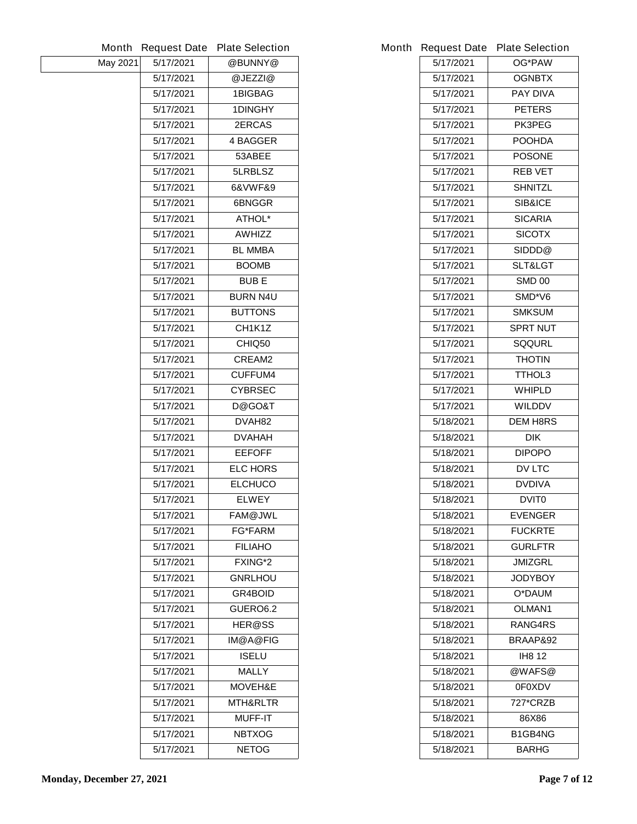|          | <b>Month Request Date</b> | <b>Plate Selection</b> |           | Month Request Date Plate Selection |
|----------|---------------------------|------------------------|-----------|------------------------------------|
| May 2021 | 5/17/2021                 | @BUNNY@                | 5/17/2021 | <b>OG*PAW</b>                      |
|          | 5/17/2021                 | @JEZZI@                | 5/17/2021 | <b>OGNBTX</b>                      |
|          | 5/17/2021                 | <b>1BIGBAG</b>         | 5/17/2021 | <b>PAY DIVA</b>                    |
|          | 5/17/2021                 | <b>1DINGHY</b>         | 5/17/2021 | <b>PETERS</b>                      |
|          | 5/17/2021                 | <b>2ERCAS</b>          | 5/17/2021 | <b>PK3PEG</b>                      |
|          | 5/17/2021                 | <b>4 BAGGER</b>        | 5/17/2021 | <b>POOHDA</b>                      |
|          | 5/17/2021                 | 53ABEE                 | 5/17/2021 | <b>POSONE</b>                      |
|          | 5/17/2021                 | 5LRBLSZ                | 5/17/2021 | <b>REB VET</b>                     |
|          | 5/17/2021                 | 6&VWF&9                | 5/17/2021 | <b>SHNITZL</b>                     |
|          | 5/17/2021                 | 6BNGGR                 | 5/17/2021 | <b>SIB&amp;ICE</b>                 |
|          | 5/17/2021                 | <b>ATHOL*</b>          | 5/17/2021 | <b>SICARIA</b>                     |
|          | 5/17/2021                 | <b>AWHIZZ</b>          | 5/17/2021 | <b>SICOTX</b>                      |
|          | 5/17/2021                 | <b>BL MMBA</b>         | 5/17/2021 | SIDDD@                             |
|          | 5/17/2021                 | <b>BOOMB</b>           | 5/17/2021 | SLT&LGT                            |
|          | 5/17/2021                 | <b>BUBE</b>            | 5/17/2021 | <b>SMD 00</b>                      |
|          | 5/17/2021                 | <b>BURN N4U</b>        | 5/17/2021 | SMD*V6                             |
|          | 5/17/2021                 | <b>BUTTONS</b>         | 5/17/2021 | <b>SMKSUM</b>                      |
|          | 5/17/2021                 | CH1K1Z                 | 5/17/2021 | <b>SPRT NUT</b>                    |
|          | 5/17/2021                 | CHIQ50                 | 5/17/2021 | <b>SQQURL</b>                      |
|          | 5/17/2021                 | <b>CREAM2</b>          | 5/17/2021 | <b>THOTIN</b>                      |
|          | 5/17/2021                 | <b>CUFFUM4</b>         | 5/17/2021 | <b>TTHOL3</b>                      |
|          | 5/17/2021                 | <b>CYBRSEC</b>         | 5/17/2021 | <b>WHIPLD</b>                      |
|          | 5/17/2021                 | D@GO&T                 | 5/17/2021 | <b>WILDDV</b>                      |
|          | 5/17/2021                 | DVAH82                 | 5/18/2021 | <b>DEM H8RS</b>                    |
|          | 5/17/2021                 | <b>DVAHAH</b>          | 5/18/2021 | <b>DIK</b>                         |
|          | 5/17/2021                 | <b>EEFOFF</b>          | 5/18/2021 | <b>DIPOPO</b>                      |
|          | 5/17/2021                 | <b>ELC HORS</b>        | 5/18/2021 | <b>DV LTC</b>                      |
|          | 5/17/2021                 | <b>ELCHUCO</b>         | 5/18/2021 | <b>DVDIVA</b>                      |
|          | 5/17/2021                 | <b>ELWEY</b>           | 5/18/2021 | <b>DVIT0</b>                       |
|          | 5/17/2021                 | FAM@JWL                | 5/18/2021 | <b>EVENGER</b>                     |
|          | 5/17/2021                 | <b>FG*FARM</b>         | 5/18/2021 | <b>FUCKRTE</b>                     |
|          | 5/17/2021                 | <b>FILIAHO</b>         | 5/18/2021 | <b>GURLFTR</b>                     |
|          | 5/17/2021                 | <b>FXING*2</b>         | 5/18/2021 | <b>JMIZGRL</b>                     |
|          | 5/17/2021                 | <b>GNRLHOU</b>         | 5/18/2021 | <b>JODYBOY</b>                     |
|          | 5/17/2021                 | <b>GR4BOID</b>         | 5/18/2021 | O*DAUM                             |
|          | 5/17/2021                 | GUERO6.2               | 5/18/2021 | <b>OLMAN1</b>                      |
|          | 5/17/2021                 | <b>HER@SS</b>          | 5/18/2021 | <b>RANG4RS</b>                     |
|          | 5/17/2021                 | <b>IM@A@FIG</b>        | 5/18/2021 | <b>BRAAP&amp;92</b>                |
|          | 5/17/2021                 | <b>ISELU</b>           | 5/18/2021 | <b>IH8 12</b>                      |
|          | 5/17/2021                 | <b>MALLY</b>           | 5/18/2021 | @WAFS@                             |
|          | 5/17/2021                 | <b>MOVEH&amp;E</b>     | 5/18/2021 | <b>OFOXDV</b>                      |
|          | 5/17/2021                 | <b>MTH&amp;RLTR</b>    | 5/18/2021 | 727*CRZB                           |
|          | 5/17/2021                 | <b>MUFF-IT</b>         | 5/18/2021 | 86X86                              |
|          | 5/17/2021                 | <b>NBTXOG</b>          | 5/18/2021 | B1GB4NG                            |
|          | 5/17/2021                 | <b>NETOG</b>           | 5/18/2021 | <b>BARHG</b>                       |
|          |                           |                        |           |                                    |

|           | <b>Request Date Plate Selection</b> |
|-----------|-------------------------------------|
| 5/17/2021 | <b>OG*PAW</b>                       |
| 5/17/2021 | <b>OGNBTX</b>                       |
| 5/17/2021 | <b>PAY DIVA</b>                     |
| 5/17/2021 | <b>PETERS</b>                       |
| 5/17/2021 | <b>PK3PEG</b>                       |
| 5/17/2021 | POOHDA                              |
| 5/17/2021 | <b>POSONE</b>                       |
| 5/17/2021 | <b>REB VET</b>                      |
| 5/17/2021 | <b>SHNITZL</b>                      |
| 5/17/2021 | <b>SIB&amp;ICE</b>                  |
| 5/17/2021 | <b>SICARIA</b>                      |
| 5/17/2021 | <b>SICOTX</b>                       |
| 5/17/2021 | <b>SIDDD@</b>                       |
| 5/17/2021 | <b>SLT&amp;LGT</b>                  |
| 5/17/2021 | <b>SMD 00</b>                       |
| 5/17/2021 | SMD*V6                              |
| 5/17/2021 | <b>SMKSUM</b>                       |
| 5/17/2021 | <b>SPRT NUT</b>                     |
| 5/17/2021 | SQQURL                              |
| 5/17/2021 | <b>THOTIN</b>                       |
| 5/17/2021 | TTHOL3                              |
| 5/17/2021 | WHIPLD                              |
| 5/17/2021 | <b>WILDDV</b>                       |
| 5/18/2021 | <b>DEM H8RS</b>                     |
| 5/18/2021 | <b>DIK</b>                          |
| 5/18/2021 | <b>DIPOPO</b>                       |
| 5/18/2021 | <b>DV LTC</b>                       |
| 5/18/2021 | <b>DVDIVA</b>                       |
| 5/18/2021 | <b>DVIT0</b>                        |
| 5/18/2021 | <b>EVENGER</b>                      |
| 5/18/2021 | <b>FUCKRTE</b>                      |
| 5/18/2021 | <b>GURLFTR</b>                      |
| 5/18/2021 | JMIZGRL                             |
| 5/18/2021 | <b>JODYBOY</b>                      |
| 5/18/2021 | O*DAUM                              |
| 5/18/2021 | <b>OLMAN1</b>                       |
| 5/18/2021 | <b>RANG4RS</b>                      |
| 5/18/2021 | BRAAP&92                            |
| 5/18/2021 | IH8 12                              |
| 5/18/2021 | @WAFS@                              |
| 5/18/2021 | 0F0XDV                              |
| 5/18/2021 | 727*CRZB                            |
| 5/18/2021 | 86X86                               |
| 5/18/2021 | B1GB4NG                             |
| 5/18/2021 | <b>BARHG</b>                        |
|           |                                     |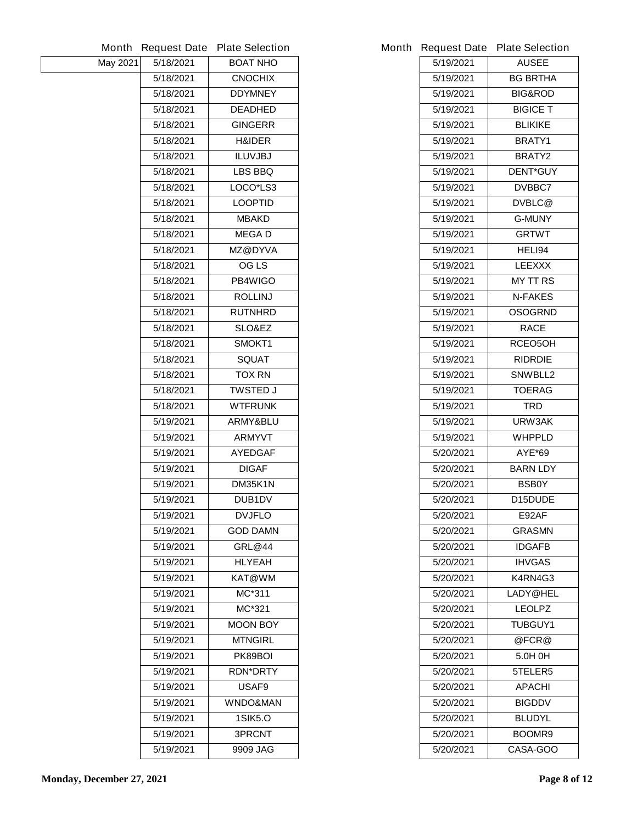|          | <b>Month Request Date</b> | <b>Plate Selection</b> |           | Month Request Date Plate Selection |
|----------|---------------------------|------------------------|-----------|------------------------------------|
| May 2021 | 5/18/2021                 | <b>BOAT NHO</b>        | 5/19/2021 | <b>AUSEE</b>                       |
|          | 5/18/2021                 | <b>CNOCHIX</b>         | 5/19/2021 | <b>BG BRTHA</b>                    |
|          | 5/18/2021                 | <b>DDYMNEY</b>         | 5/19/2021 | <b>BIG&amp;ROD</b>                 |
|          | 5/18/2021                 | <b>DEADHED</b>         | 5/19/2021 | <b>BIGICE T</b>                    |
|          | 5/18/2021                 | <b>GINGERR</b>         | 5/19/2021 | <b>BLIKIKE</b>                     |
|          | 5/18/2021                 | <b>H&amp;IDER</b>      | 5/19/2021 | BRATY1                             |
|          | 5/18/2021                 | <b>ILUVJBJ</b>         | 5/19/2021 | <b>BRATY2</b>                      |
|          | 5/18/2021                 | LBS BBQ                | 5/19/2021 | <b>DENT*GUY</b>                    |
|          | 5/18/2021                 | LOCO*LS3               | 5/19/2021 | <b>DVBBC7</b>                      |
|          | 5/18/2021                 | <b>LOOPTID</b>         | 5/19/2021 | <b>DVBLC@</b>                      |
|          | 5/18/2021                 | <b>MBAKD</b>           | 5/19/2021 | <b>G-MUNY</b>                      |
|          | 5/18/2021                 | <b>MEGAD</b>           | 5/19/2021 | <b>GRTWT</b>                       |
|          | 5/18/2021                 | <b>MZ@DYVA</b>         | 5/19/2021 | HELI94                             |
|          | 5/18/2021                 | <b>OG LS</b>           | 5/19/2021 | <b>LEEXXX</b>                      |
|          | 5/18/2021                 | PB4WIGO                | 5/19/2021 | <b>MY TT RS</b>                    |
|          | 5/18/2021                 | <b>ROLLINJ</b>         | 5/19/2021 | <b>N-FAKES</b>                     |
|          | 5/18/2021                 | <b>RUTNHRD</b>         | 5/19/2021 | <b>OSOGRND</b>                     |
|          | 5/18/2021                 | <b>SLO&amp;EZ</b>      | 5/19/2021 | <b>RACE</b>                        |
|          | 5/18/2021                 | SMOKT1                 | 5/19/2021 | RCEO5OH                            |
|          | 5/18/2021                 | <b>SQUAT</b>           | 5/19/2021 | <b>RIDRDIE</b>                     |
|          | 5/18/2021                 | <b>TOX RN</b>          | 5/19/2021 | <b>SNWBLL2</b>                     |
|          | 5/18/2021                 | <b>TWSTED J</b>        | 5/19/2021 | <b>TOERAG</b>                      |
|          | 5/18/2021                 | <b>WTFRUNK</b>         | 5/19/2021 | <b>TRD</b>                         |
|          | 5/19/2021                 | ARMY&BLU               | 5/19/2021 | URW3AK                             |
|          | 5/19/2021                 | <b>ARMYVT</b>          | 5/19/2021 | <b>WHPPLD</b>                      |
|          | 5/19/2021                 | <b>AYEDGAF</b>         | 5/20/2021 | <b>AYE*69</b>                      |
|          | 5/19/2021                 | <b>DIGAF</b>           | 5/20/2021 | <b>BARN LDY</b>                    |
|          | 5/19/2021                 | DM35K1N                | 5/20/2021 | <b>BSB0Y</b>                       |
|          | 5/19/2021                 | <b>DUB1DV</b>          | 5/20/2021 | D15DUDE                            |
|          | 5/19/2021                 | <b>DVJFLO</b>          | 5/20/2021 | E92AF                              |
|          | 5/19/2021                 | <b>GOD DAMN</b>        | 5/20/2021 | <b>GRASMN</b>                      |
|          | 5/19/2021                 | <b>GRL@44</b>          | 5/20/2021 | <b>IDGAFB</b>                      |
|          | 5/19/2021                 | <b>HLYEAH</b>          | 5/20/2021 | <b>IHVGAS</b>                      |
|          | 5/19/2021                 | KAT@WM                 | 5/20/2021 | K4RN4G3                            |
|          | 5/19/2021                 | MC*311                 | 5/20/2021 | LADY@HEL                           |
|          | 5/19/2021                 | MC*321                 | 5/20/2021 | <b>LEOLPZ</b>                      |
|          | 5/19/2021                 | <b>MOON BOY</b>        | 5/20/2021 | <b>TUBGUY1</b>                     |
|          | 5/19/2021                 | <b>MTNGIRL</b>         | 5/20/2021 | @FCR@                              |
|          | 5/19/2021                 | PK89BOI                | 5/20/2021 | 5.0H 0H                            |
|          | 5/19/2021                 | <b>RDN*DRTY</b>        | 5/20/2021 | 5TELER5                            |
|          | 5/19/2021                 | USAF9                  | 5/20/2021 | <b>APACHI</b>                      |
|          | 5/19/2021                 | <b>WNDO&amp;MAN</b>    | 5/20/2021 | <b>BIGDDV</b>                      |
|          | 5/19/2021                 | <b>1SIK5.0</b>         | 5/20/2021 | <b>BLUDYL</b>                      |
|          | 5/19/2021                 | <b>3PRCNT</b>          | 5/20/2021 | BOOMR9                             |
|          | 5/19/2021                 | 9909 JAG               | 5/20/2021 | <b>CASA-GOO</b>                    |
|          |                           |                        |           |                                    |

|           | <b>Request Date Plate Selection</b> |
|-----------|-------------------------------------|
| 5/19/2021 | <b>AUSEE</b>                        |
| 5/19/2021 | <b>BG BRTHA</b>                     |
| 5/19/2021 | <b>BIG&amp;ROD</b>                  |
| 5/19/2021 | <b>BIGICE T</b>                     |
| 5/19/2021 | <b>BLIKIKE</b>                      |
| 5/19/2021 | <b>BRATY1</b>                       |
| 5/19/2021 | <b>BRATY2</b>                       |
| 5/19/2021 | <b>DENT*GUY</b>                     |
| 5/19/2021 | <b>DVBBC7</b>                       |
| 5/19/2021 | DVBLC@                              |
| 5/19/2021 | <b>G-MUNY</b>                       |
| 5/19/2021 | <b>GRTWT</b>                        |
| 5/19/2021 | <b>HELI94</b>                       |
| 5/19/2021 | <b>LEEXXX</b>                       |
| 5/19/2021 | <b>MY TT RS</b>                     |
| 5/19/2021 | <b>N-FAKES</b>                      |
| 5/19/2021 | OSOGRND                             |
| 5/19/2021 | <b>RACE</b>                         |
| 5/19/2021 | RCEO5OH                             |
| 5/19/2021 | <b>RIDRDIE</b>                      |
| 5/19/2021 | <b>SNWBLL2</b>                      |
| 5/19/2021 | <b>TOERAG</b>                       |
| 5/19/2021 | TRD                                 |
| 5/19/2021 | URW3AK                              |
| 5/19/2021 | WHPPLD                              |
| 5/20/2021 | AYE*69                              |
| 5/20/2021 | <b>BARN LDY</b>                     |
| 5/20/2021 | <b>BSB0Y</b>                        |
| 5/20/2021 | D15DUDE                             |
| 5/20/2021 | E92AF                               |
| 5/20/2021 | <b>GRASMN</b>                       |
| 5/20/2021 | <b>IDGAFB</b>                       |
| 5/20/2021 | IHVGAS                              |
| 5/20/2021 | K4RN4G3                             |
| 5/20/2021 | <b>LADY@HEL</b>                     |
| 5/20/2021 | <b>LEOLPZ</b>                       |
| 5/20/2021 | <b>TUBGUY1</b>                      |
| 5/20/2021 | @FCR@                               |
| 5/20/2021 | 5.0H 0H                             |
| 5/20/2021 | 5TELER5                             |
| 5/20/2021 | APACHI                              |
| 5/20/2021 | <b>BIGDDV</b>                       |
| 5/20/2021 | <b>BLUDYL</b>                       |
| 5/20/2021 | <b>BOOMR9</b>                       |
| 5/20/2021 | <b>CASA-GOO</b>                     |
|           |                                     |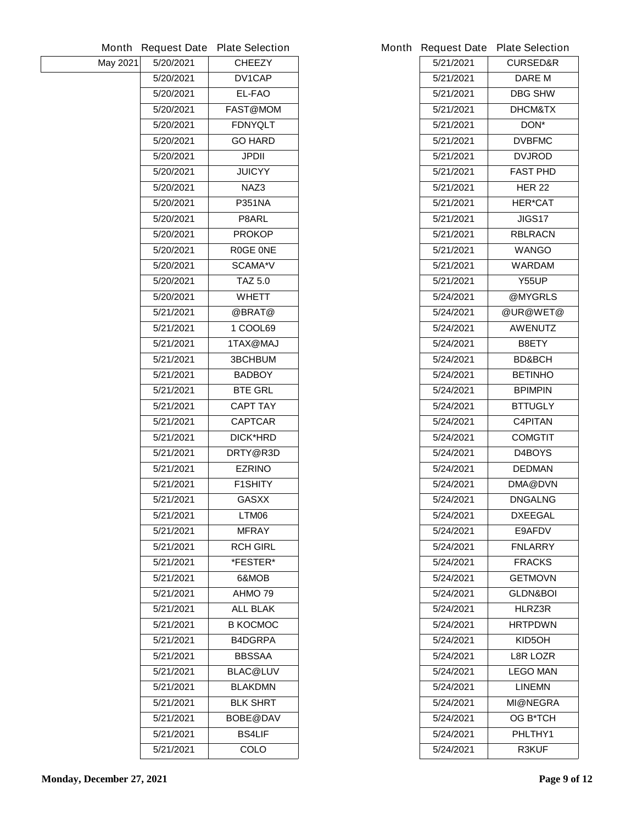|          | <b>Month Request Date</b> | <b>Plate Selection</b> |           | Month Request Date Plate Selection |
|----------|---------------------------|------------------------|-----------|------------------------------------|
| May 2021 | 5/20/2021                 | <b>CHEEZY</b>          | 5/21/2021 | <b>CURSED&amp;R</b>                |
|          | 5/20/2021                 | DV1CAP                 | 5/21/2021 | <b>DARE M</b>                      |
|          | 5/20/2021                 | EL-FAO                 | 5/21/2021 | <b>DBG SHW</b>                     |
|          | 5/20/2021                 | <b>FAST@MOM</b>        | 5/21/2021 | <b>DHCM&amp;TX</b>                 |
|          | 5/20/2021                 | <b>FDNYQLT</b>         | 5/21/2021 | DON*                               |
|          | 5/20/2021                 | <b>GO HARD</b>         | 5/21/2021 | <b>DVBFMC</b>                      |
|          | 5/20/2021                 | <b>JPDII</b>           | 5/21/2021 | <b>DVJROD</b>                      |
|          | 5/20/2021                 | <b>JUICYY</b>          | 5/21/2021 | <b>FAST PHD</b>                    |
|          | 5/20/2021                 | NAZ3                   | 5/21/2021 | <b>HER 22</b>                      |
|          | 5/20/2021                 | <b>P351NA</b>          | 5/21/2021 | <b>HER*CAT</b>                     |
|          | 5/20/2021                 | P8ARL                  | 5/21/2021 | <b>JIGS17</b>                      |
|          | 5/20/2021                 | <b>PROKOP</b>          | 5/21/2021 | <b>RBLRACN</b>                     |
|          | 5/20/2021                 | <b>ROGE ONE</b>        | 5/21/2021 | <b>WANGO</b>                       |
|          | 5/20/2021                 | <b>SCAMA*V</b>         | 5/21/2021 | <b>WARDAM</b>                      |
|          | 5/20/2021                 | <b>TAZ 5.0</b>         | 5/21/2021 | <b>Y55UP</b>                       |
|          | 5/20/2021                 | <b>WHETT</b>           | 5/24/2021 | @MYGRLS                            |
|          | 5/21/2021                 | @BRAT@                 | 5/24/2021 | @UR@WET@                           |
|          | 5/21/2021                 | 1 COOL69               | 5/24/2021 | <b>AWENUTZ</b>                     |
|          | 5/21/2021                 | 1TAX@MAJ               | 5/24/2021 | B8ETY                              |
|          | 5/21/2021                 | <b>3BCHBUM</b>         | 5/24/2021 | <b>BD&amp;BCH</b>                  |
|          | 5/21/2021                 | <b>BADBOY</b>          | 5/24/2021 | <b>BETINHO</b>                     |
|          | 5/21/2021                 | <b>BTE GRL</b>         | 5/24/2021 | <b>BPIMPIN</b>                     |
|          | 5/21/2021                 | <b>CAPT TAY</b>        | 5/24/2021 | <b>BTTUGLY</b>                     |
|          | 5/21/2021                 | <b>CAPTCAR</b>         | 5/24/2021 | <b>C4PITAN</b>                     |
|          | 5/21/2021                 | <b>DICK*HRD</b>        | 5/24/2021 | <b>COMGTIT</b>                     |
|          | 5/21/2021                 | DRTY@R3D               | 5/24/2021 | D4BOYS                             |
|          | 5/21/2021                 | <b>EZRINO</b>          | 5/24/2021 | <b>DEDMAN</b>                      |
|          | 5/21/2021                 | <b>F1SHITY</b>         | 5/24/2021 | <b>DMA@DVN</b>                     |
|          | 5/21/2021                 | <b>GASXX</b>           | 5/24/2021 | <b>DNGALNG</b>                     |
|          | 5/21/2021                 | LTM06                  | 5/24/2021 | <b>DXEEGAL</b>                     |
|          | 5/21/2021                 | <b>MFRAY</b>           | 5/24/2021 | E9AFDV                             |
|          | 5/21/2021                 | <b>RCH GIRL</b>        | 5/24/2021 | <b>FNLARRY</b>                     |
|          | 5/21/2021                 | *FESTER*               | 5/24/2021 | <b>FRACKS</b>                      |
|          | 5/21/2021                 | 6&MOB                  | 5/24/2021 | <b>GETMOVN</b>                     |
|          | 5/21/2021                 | AHMO 79                | 5/24/2021 | <b>GLDN&amp;BOI</b>                |
|          | 5/21/2021                 | <b>ALL BLAK</b>        | 5/24/2021 | HLRZ3R                             |
|          | 5/21/2021                 | <b>B KOCMOC</b>        | 5/24/2021 | <b>HRTPDWN</b>                     |
|          | 5/21/2021                 | <b>B4DGRPA</b>         | 5/24/2021 | KID5OH                             |
|          | 5/21/2021                 | <b>BBSSAA</b>          | 5/24/2021 | <b>L8R LOZR</b>                    |
|          | 5/21/2021                 | <b>BLAC@LUV</b>        | 5/24/2021 | <b>LEGO MAN</b>                    |
|          | 5/21/2021                 | <b>BLAKDMN</b>         | 5/24/2021 | <b>LINEMN</b>                      |
|          | 5/21/2021                 | <b>BLK SHRT</b>        | 5/24/2021 | <b>MI@NEGRA</b>                    |
|          | 5/21/2021                 | <b>BOBE@DAV</b>        | 5/24/2021 | <b>OG B*TCH</b>                    |
|          | 5/21/2021                 | <b>BS4LIF</b>          | 5/24/2021 | PHLTHY1                            |
|          | 5/21/2021                 | <b>COLO</b>            | 5/24/2021 | <b>R3KUF</b>                       |
|          |                           |                        |           |                                    |

|           | <b>Request Date Plate Selection</b> |
|-----------|-------------------------------------|
| 5/21/2021 | <b>CURSED&amp;R</b>                 |
| 5/21/2021 | DARE M                              |
| 5/21/2021 | <b>DBG SHW</b>                      |
| 5/21/2021 | <b>DHCM&amp;TX</b>                  |
| 5/21/2021 | DON*                                |
| 5/21/2021 | <b>DVBFMC</b>                       |
| 5/21/2021 | <b>DVJROD</b>                       |
| 5/21/2021 | <b>FAST PHD</b>                     |
| 5/21/2021 | <b>HER 22</b>                       |
| 5/21/2021 | <b>HER*CAT</b>                      |
| 5/21/2021 | JIGS17                              |
| 5/21/2021 | <b>RBLRACN</b>                      |
| 5/21/2021 | WANGO                               |
| 5/21/2021 | WARDAM                              |
| 5/21/2021 | Y55UP                               |
| 5/24/2021 | @MYGRLS                             |
| 5/24/2021 | @UR@WET@                            |
| 5/24/2021 | <b>AWENUTZ</b>                      |
| 5/24/2021 | <b>B8ETY</b>                        |
| 5/24/2021 | <b>BD&amp;BCH</b>                   |
| 5/24/2021 | <b>BETINHO</b>                      |
| 5/24/2021 | <b>BPIMPIN</b>                      |
| 5/24/2021 | <b>BTTUGLY</b>                      |
| 5/24/2021 | <b>C4PITAN</b>                      |
| 5/24/2021 | <b>COMGTIT</b>                      |
| 5/24/2021 | <b>D4BOYS</b>                       |
| 5/24/2021 | <b>DEDMAN</b>                       |
| 5/24/2021 | <b>DMA@DVN</b>                      |
| 5/24/2021 | <b>DNGALNG</b>                      |
| 5/24/2021 | <b>DXEEGAL</b>                      |
| 5/24/2021 | <b>E9AFDV</b>                       |
| 5/24/2021 | <b>FNLARRY</b>                      |
| 5/24/2021 | <b>FRACKS</b>                       |
| 5/24/2021 | <b>GETMOVN</b>                      |
| 5/24/2021 | <b>GLDN&amp;BOI</b>                 |
| 5/24/2021 | <b>HLRZ3R</b>                       |
| 5/24/2021 | <b>HRTPDWN</b>                      |
| 5/24/2021 | KID5OH                              |
| 5/24/2021 | <b>L8R LOZR</b>                     |
| 5/24/2021 | <b>LEGO MAN</b>                     |
| 5/24/2021 | <b>LINEMN</b>                       |
| 5/24/2021 | <b>MI@NEGRA</b>                     |
| 5/24/2021 | <b>OG B*TCH</b>                     |
| 5/24/2021 | PHLTHY1                             |
| 5/24/2021 | <b>R3KUF</b>                        |
|           |                                     |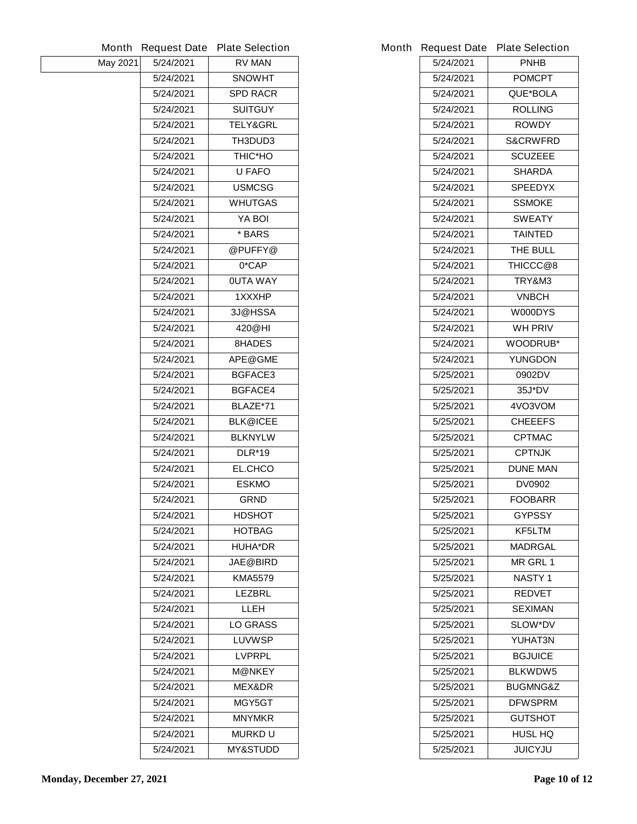|          | <b>Month Request Date</b> | <b>Plate Selection</b> |           | Month Request Date Plate Selection |
|----------|---------------------------|------------------------|-----------|------------------------------------|
| May 2021 | 5/24/2021                 | <b>RV MAN</b>          | 5/24/2021 | <b>PNHB</b>                        |
|          | 5/24/2021                 | <b>SNOWHT</b>          | 5/24/2021 | <b>POMCPT</b>                      |
|          | 5/24/2021                 | <b>SPD RACR</b>        | 5/24/2021 | QUE*BOLA                           |
|          | 5/24/2021                 | <b>SUITGUY</b>         | 5/24/2021 | <b>ROLLING</b>                     |
|          | 5/24/2021                 | <b>TELY&amp;GRL</b>    | 5/24/2021 | <b>ROWDY</b>                       |
|          | 5/24/2021                 | TH3DUD3                | 5/24/2021 | <b>S&amp;CRWFRD</b>                |
|          | 5/24/2021                 | <b>THIC*HO</b>         | 5/24/2021 | <b>SCUZEEE</b>                     |
|          | 5/24/2021                 | <b>U FAFO</b>          | 5/24/2021 | <b>SHARDA</b>                      |
|          | 5/24/2021                 | <b>USMCSG</b>          | 5/24/2021 | <b>SPEEDYX</b>                     |
|          | 5/24/2021                 | <b>WHUTGAS</b>         | 5/24/2021 | <b>SSMOKE</b>                      |
|          | 5/24/2021                 | YA BOI                 | 5/24/2021 | <b>SWEATY</b>                      |
|          | 5/24/2021                 | * BARS                 | 5/24/2021 | <b>TAINTED</b>                     |
|          | 5/24/2021                 | @PUFFY@                | 5/24/2021 | THE BULL                           |
|          | 5/24/2021                 | 0*CAP                  | 5/24/2021 | THICCC@8                           |
|          | 5/24/2021                 | <b>OUTA WAY</b>        | 5/24/2021 | TRY&M3                             |
|          | 5/24/2021                 | 1XXXHP                 | 5/24/2021 | <b>VNBCH</b>                       |
|          | 5/24/2021                 | 3J@HSSA                | 5/24/2021 | W000DYS                            |
|          | 5/24/2021                 | 420@HI                 | 5/24/2021 | <b>WH PRIV</b>                     |
|          | 5/24/2021                 | 8HADES                 | 5/24/2021 | <b>WOODRUB*</b>                    |
|          | 5/24/2021                 | <b>APE@GME</b>         | 5/24/2021 | <b>YUNGDON</b>                     |
|          | 5/24/2021                 | <b>BGFACE3</b>         | 5/25/2021 | 0902DV                             |
|          | 5/24/2021                 | <b>BGFACE4</b>         | 5/25/2021 | $35J*DV$                           |
|          | 5/24/2021                 | BLAZE*71               | 5/25/2021 | 4VO3VOM                            |
|          | 5/24/2021                 | <b>BLK@ICEE</b>        | 5/25/2021 | <b>CHEEEFS</b>                     |
|          | 5/24/2021                 | <b>BLKNYLW</b>         | 5/25/2021 | <b>CPTMAC</b>                      |
|          | 5/24/2021                 | <b>DLR*19</b>          | 5/25/2021 | <b>CPTNJK</b>                      |
|          | 5/24/2021                 | <b>EL.CHCO</b>         | 5/25/2021 | <b>DUNE MAN</b>                    |
|          | 5/24/2021                 | <b>ESKMO</b>           | 5/25/2021 | <b>DV0902</b>                      |
|          | 5/24/2021                 | <b>GRND</b>            | 5/25/2021 | <b>FOOBARR</b>                     |
|          | 5/24/2021                 | <b>HDSHOT</b>          | 5/25/2021 | <b>GYPSSY</b>                      |
|          | 5/24/2021                 | <b>HOTBAG</b>          | 5/25/2021 | <b>KF5LTM</b>                      |
|          | 5/24/2021                 | <b>HUHA*DR</b>         | 5/25/2021 | <b>MADRGAL</b>                     |
|          | 5/24/2021                 | <b>JAE@BIRD</b>        | 5/25/2021 | <b>MR GRL1</b>                     |
|          | 5/24/2021                 | <b>KMA5579</b>         | 5/25/2021 | <b>NASTY1</b>                      |
|          | 5/24/2021                 | <b>LEZBRL</b>          | 5/25/2021 | <b>REDVET</b>                      |
|          | 5/24/2021                 | <b>LLEH</b>            | 5/25/2021 | <b>SEXIMAN</b>                     |
|          | 5/24/2021                 | <b>LO GRASS</b>        | 5/25/2021 | <b>SLOW*DV</b>                     |
|          | 5/24/2021                 | <b>LUVWSP</b>          | 5/25/2021 | YUHAT3N                            |
|          | 5/24/2021                 | <b>LVPRPL</b>          | 5/25/2021 | <b>BGJUICE</b>                     |
|          | 5/24/2021                 | <b>M@NKEY</b>          | 5/25/2021 | <b>BLKWDW5</b>                     |
|          | 5/24/2021                 | <b>MEX&amp;DR</b>      | 5/25/2021 | <b>BUGMNG&amp;Z</b>                |
|          | 5/24/2021                 | MGY5GT                 | 5/25/2021 | <b>DFWSPRM</b>                     |
|          | 5/24/2021                 | <b>MNYMKR</b>          | 5/25/2021 | <b>GUTSHOT</b>                     |
|          | 5/24/2021                 | <b>MURKDU</b>          | 5/25/2021 | <b>HUSL HQ</b>                     |
|          | 5/24/2021                 | <b>MY&amp;STUDD</b>    | 5/25/2021 | <b>JUICYJU</b>                     |
|          |                           |                        |           |                                    |

|           | <b>Request Date Plate Selection</b> |
|-----------|-------------------------------------|
| 5/24/2021 | <b>PNHB</b>                         |
| 5/24/2021 | <b>POMCPT</b>                       |
| 5/24/2021 | <b>QUE*BOLA</b>                     |
| 5/24/2021 | <b>ROLLING</b>                      |
| 5/24/2021 | <b>ROWDY</b>                        |
| 5/24/2021 | <b>S&amp;CRWFRD</b>                 |
| 5/24/2021 | <b>SCUZEEE</b>                      |
| 5/24/2021 | SHARDA                              |
| 5/24/2021 | <b>SPEEDYX</b>                      |
| 5/24/2021 | <b>SSMOKE</b>                       |
| 5/24/2021 | <b>SWEATY</b>                       |
| 5/24/2021 | <b>TAINTED</b>                      |
| 5/24/2021 | THE BULL                            |
| 5/24/2021 | THICCC@8                            |
| 5/24/2021 | <b>TRY&amp;M3</b>                   |
| 5/24/2021 | VNBCH                               |
| 5/24/2021 | <b>W000DYS</b>                      |
| 5/24/2021 | WH PRIV                             |
| 5/24/2021 | <b>WOODRUB*</b>                     |
| 5/24/2021 | <b>YUNGDON</b>                      |
| 5/25/2021 | 0902DV                              |
| 5/25/2021 | <b>35J*DV</b>                       |
| 5/25/2021 | 4VO3VOM                             |
| 5/25/2021 | <b>CHEEEFS</b>                      |
| 5/25/2021 | <b>CPTMAC</b>                       |
| 5/25/2021 | <b>CPTNJK</b>                       |
| 5/25/2021 | <b>DUNE MAN</b>                     |
| 5/25/2021 | <b>DV0902</b>                       |
| 5/25/2021 | <b>FOOBARR</b>                      |
| 5/25/2021 | <b>GYPSSY</b>                       |
| 5/25/2021 | KF5LTM                              |
| 5/25/2021 | MADRGAL                             |
| 5/25/2021 | <b>MR GRL 1</b>                     |
| 5/25/2021 | <b>NASTY1</b>                       |
| 5/25/2021 | <b>REDVET</b>                       |
| 5/25/2021 | <b>SEXIMAN</b>                      |
| 5/25/2021 | <b>SLOW*DV</b>                      |
| 5/25/2021 | YUHAT3N                             |
| 5/25/2021 | <b>BGJUICE</b>                      |
| 5/25/2021 | <b>BLKWDW5</b>                      |
| 5/25/2021 | <b>BUGMNG&amp;Z</b>                 |
| 5/25/2021 | <b>DFWSPRM</b>                      |
| 5/25/2021 | <b>GUTSHOT</b>                      |
| 5/25/2021 | <b>HUSL HQ</b>                      |
| 5/25/2021 | <b>JUICYJU</b>                      |
|           |                                     |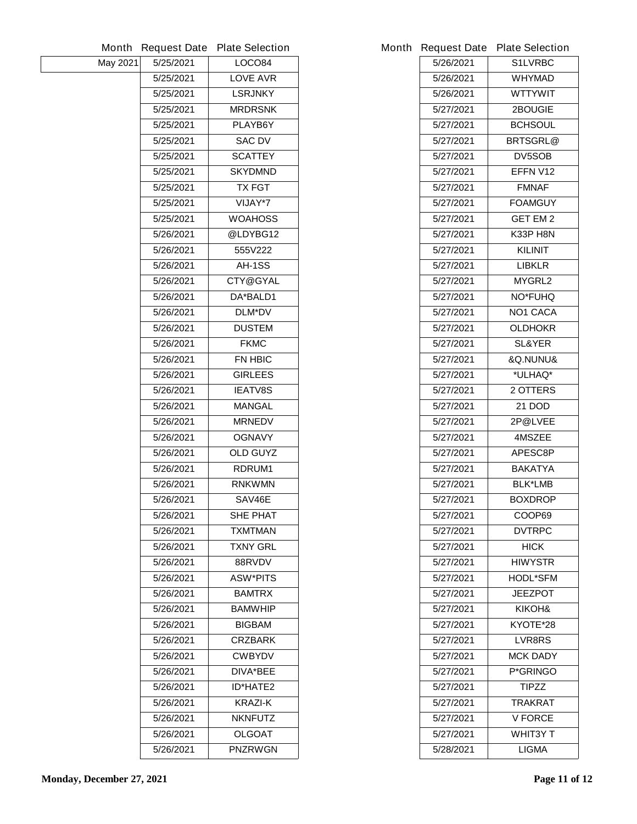|          | <b>Month Request Date</b> | <b>Plate Selection</b> |           | Month Request Date Plate Selection |
|----------|---------------------------|------------------------|-----------|------------------------------------|
| May 2021 | 5/25/2021                 | <b>LOCO84</b>          | 5/26/2021 | <b>S1LVRBC</b>                     |
|          | 5/25/2021                 | <b>LOVE AVR</b>        | 5/26/2021 | <b>WHYMAD</b>                      |
|          | 5/25/2021                 | <b>LSRJNKY</b>         | 5/26/2021 | <b>WTTYWIT</b>                     |
|          | 5/25/2021                 | <b>MRDRSNK</b>         | 5/27/2021 | 2BOUGIE                            |
|          | 5/25/2021                 | PLAYB6Y                | 5/27/2021 | <b>BCHSOUL</b>                     |
|          | 5/25/2021                 | <b>SAC DV</b>          | 5/27/2021 | <b>BRTSGRL@</b>                    |
|          | 5/25/2021                 | <b>SCATTEY</b>         | 5/27/2021 | <b>DV5SOB</b>                      |
|          | 5/25/2021                 | <b>SKYDMND</b>         | 5/27/2021 | EFFN V12                           |
|          | 5/25/2021                 | <b>TX FGT</b>          | 5/27/2021 | <b>FMNAF</b>                       |
|          | 5/25/2021                 | VIJAY*7                | 5/27/2021 | <b>FOAMGUY</b>                     |
|          | 5/25/2021                 | <b>WOAHOSS</b>         | 5/27/2021 | <b>GET EM 2</b>                    |
|          | 5/26/2021                 | @LDYBG12               | 5/27/2021 | <b>K33P H8N</b>                    |
|          | 5/26/2021                 | 555V222                | 5/27/2021 | <b>KILINIT</b>                     |
|          | 5/26/2021                 | AH-1SS                 | 5/27/2021 | <b>LIBKLR</b>                      |
|          | 5/26/2021                 | <b>CTY@GYAL</b>        | 5/27/2021 | <b>MYGRL2</b>                      |
|          | 5/26/2021                 | DA*BALD1               | 5/27/2021 | <b>NO*FUHQ</b>                     |
|          | 5/26/2021                 | <b>DLM*DV</b>          | 5/27/2021 | <b>NO1 CACA</b>                    |
|          | 5/26/2021                 | <b>DUSTEM</b>          | 5/27/2021 | <b>OLDHOKR</b>                     |
|          | 5/26/2021                 | <b>FKMC</b>            | 5/27/2021 | <b>SL&amp;YER</b>                  |
|          | 5/26/2021                 | <b>FN HBIC</b>         | 5/27/2021 | &Q.NUNU&                           |
|          | 5/26/2021                 | <b>GIRLEES</b>         | 5/27/2021 | *ULHAQ*                            |
|          | 5/26/2021                 | <b>IEATV8S</b>         | 5/27/2021 | 2 OTTERS                           |
|          | 5/26/2021                 | <b>MANGAL</b>          | 5/27/2021 | <b>21 DOD</b>                      |
|          | 5/26/2021                 | <b>MRNEDV</b>          | 5/27/2021 | 2P@LVEE                            |
|          | 5/26/2021                 | <b>OGNAVY</b>          | 5/27/2021 | <b>4MSZEE</b>                      |
|          | 5/26/2021                 | <b>OLD GUYZ</b>        | 5/27/2021 | <b>APESC8P</b>                     |
|          | 5/26/2021                 | RDRUM1                 | 5/27/2021 | <b>BAKATYA</b>                     |
|          | 5/26/2021                 | <b>RNKWMN</b>          | 5/27/2021 | <b>BLK*LMB</b>                     |
|          | 5/26/2021                 | SAV46E                 | 5/27/2021 | <b>BOXDROP</b>                     |
|          | 5/26/2021                 | <b>SHE PHAT</b>        | 5/27/2021 | COOP69                             |
|          | 5/26/2021                 | <b>TXMTMAN</b>         | 5/27/2021 | <b>DVTRPC</b>                      |
|          | 5/26/2021                 | <b>TXNY GRL</b>        | 5/27/2021 | <b>HICK</b>                        |
|          | 5/26/2021                 | 88RVDV                 | 5/27/2021 | <b>HIWYSTR</b>                     |
|          | 5/26/2021                 | <b>ASW*PITS</b>        | 5/27/2021 | <b>HODL*SFM</b>                    |
|          | 5/26/2021                 | <b>BAMTRX</b>          | 5/27/2021 | <b>JEEZPOT</b>                     |
|          | 5/26/2021                 | <b>BAMWHIP</b>         | 5/27/2021 | KIKOH&                             |
|          | 5/26/2021                 | <b>BIGBAM</b>          | 5/27/2021 | KYOTE*28                           |
|          | 5/26/2021                 | <b>CRZBARK</b>         | 5/27/2021 | <b>LVR8RS</b>                      |
|          | 5/26/2021                 | <b>CWBYDV</b>          | 5/27/2021 | <b>MCK DADY</b>                    |
|          | 5/26/2021                 | DIVA*BEE               | 5/27/2021 | P*GRINGO                           |
|          | 5/26/2021                 | <b>ID*HATE2</b>        | 5/27/2021 | <b>TIPZZ</b>                       |
|          | 5/26/2021                 | <b>KRAZI-K</b>         | 5/27/2021 | <b>TRAKRAT</b>                     |
|          | 5/26/2021                 | <b>NKNFUTZ</b>         | 5/27/2021 | <b>V FORCE</b>                     |
|          | 5/26/2021                 | <b>OLGOAT</b>          | 5/27/2021 | <b>WHIT3Y T</b>                    |
|          | 5/26/2021                 | <b>PNZRWGN</b>         | 5/28/2021 | <b>LIGMA</b>                       |
|          |                           |                        |           |                                    |

|           | <b>Request Date Plate Selection</b> |
|-----------|-------------------------------------|
| 5/26/2021 | <b>S1LVRBC</b>                      |
| 5/26/2021 | <b>WHYMAD</b>                       |
| 5/26/2021 | <b>WTTYWIT</b>                      |
| 5/27/2021 | <b>2BOUGIE</b>                      |
| 5/27/2021 | <b>BCHSOUL</b>                      |
| 5/27/2021 | <b>BRTSGRL@</b>                     |
| 5/27/2021 | <b>DV5SOB</b>                       |
| 5/27/2021 | EFFN V12                            |
| 5/27/2021 | <b>FMNAF</b>                        |
| 5/27/2021 | <b>FOAMGUY</b>                      |
| 5/27/2021 | <b>GET EM 2</b>                     |
| 5/27/2021 | <b>K33P H8N</b>                     |
| 5/27/2021 | KILINIT                             |
| 5/27/2021 | <b>LIBKLR</b>                       |
| 5/27/2021 | <b>MYGRL2</b>                       |
| 5/27/2021 | <b>NO*FUHQ</b>                      |
| 5/27/2021 | <b>NO1 CACA</b>                     |
| 5/27/2021 | <b>OLDHOKR</b>                      |
| 5/27/2021 | <b>SL&amp;YER</b>                   |
| 5/27/2021 | <b>&amp;Q.NUNU&amp;</b>             |
| 5/27/2021 | *ULHAQ*                             |
| 5/27/2021 | <b>2 OTTERS</b>                     |
| 5/27/2021 | 21 DOD                              |
| 5/27/2021 | 2P@LVEE                             |
| 5/27/2021 | <b>4MSZEE</b>                       |
| 5/27/2021 | <b>APESC8P</b>                      |
| 5/27/2021 | <b>BAKATYA</b>                      |
| 5/27/2021 | <b>BLK*LMB</b>                      |
| 5/27/2021 | <b>BOXDROP</b>                      |
| 5/27/2021 | COOP69                              |
| 5/27/2021 | <b>DVTRPC</b>                       |
| 5/27/2021 | <b>HICK</b>                         |
| 5/27/2021 | <b>HIWYSTR</b>                      |
| 5/27/2021 | <b>HODL*SFM</b>                     |
| 5/27/2021 | <b>JEEZPOT</b>                      |
| 5/27/2021 | KIKOH&                              |
| 5/27/2021 | KYOTE*28                            |
| 5/27/2021 | <b>LVR8RS</b>                       |
| 5/27/2021 | <b>MCK DADY</b>                     |
| 5/27/2021 | <b>P*GRINGO</b>                     |
| 5/27/2021 | <b>TIPZZ</b>                        |
| 5/27/2021 | <b>TRAKRAT</b>                      |
| 5/27/2021 | <b>V FORCE</b>                      |
| 5/27/2021 | <b>WHIT3Y T</b>                     |
| 5/28/2021 | LIGMA                               |
|           |                                     |